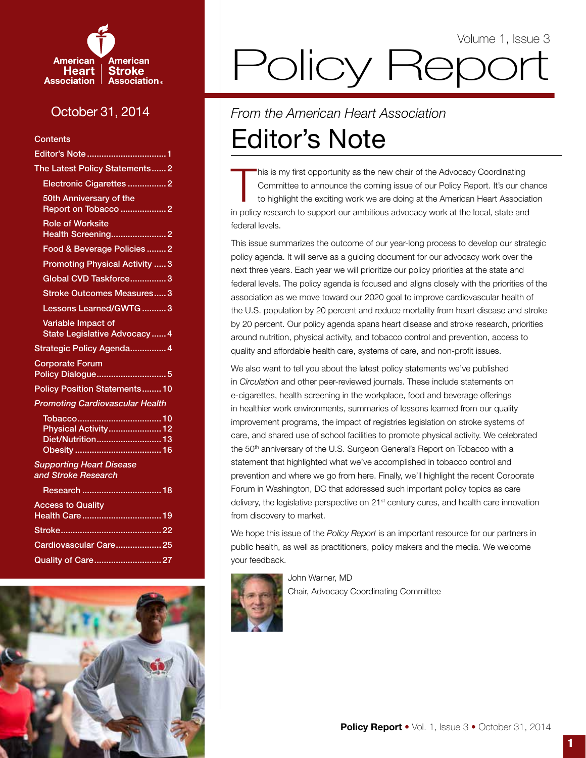

# October 31, 2014

**Contents** 

| Editor's Note  1                                                                                                     |
|----------------------------------------------------------------------------------------------------------------------|
| The Latest Policy Statements 2                                                                                       |
| Electronic Cigarettes  2                                                                                             |
| 50th Anniversary of the                                                                                              |
| <b>Role of Worksite</b><br><b>Health Screening 2</b>                                                                 |
| Food & Beverage Policies  2                                                                                          |
| <b>Promoting Physical Activity  3</b>                                                                                |
| Global CVD Taskforce3                                                                                                |
| <b>Stroke Outcomes Measures3</b>                                                                                     |
| Lessons Learned/GWTG3                                                                                                |
| Variable Impact of<br><b>State Legislative Advocacy 4</b>                                                            |
| Strategic Policy Agenda 4                                                                                            |
| <b>Corporate Forum</b><br>Policy Dialogue5                                                                           |
| <b>Policy Position Statements 10</b>                                                                                 |
| <b>Promoting Cardiovascular Health</b>                                                                               |
| Physical Activity 12<br>Diet/Nutrition 13                                                                            |
| <b>Supporting Heart Disease</b><br>and Stroke Research                                                               |
| Research  18                                                                                                         |
| <b>Access to Quality</b><br>$\mathcal{L}(\mathcal{L})$ and $\mathcal{L}(\mathcal{L})$ and $\mathcal{L}(\mathcal{L})$ |
|                                                                                                                      |

# Policy Repor Volume 1, Issue 3

# Editor's Note *From the American Heart Association*

T his is my first opportunity as the new chair of the Advocacy Coordinating Committee to announce the coming issue of our Policy Report. It's our chance to highlight the exciting work we are doing at the American Heart Association in policy research to support our ambitious advocacy work at the local, state and federal levels.

This issue summarizes the outcome of our year-long process to develop our strategic policy agenda. It will serve as a guiding document for our advocacy work over the next three years. Each year we will prioritize our policy priorities at the state and federal levels. The policy agenda is focused and aligns closely with the priorities of the association as we move toward our 2020 goal to improve cardiovascular health of the U.S. population by 20 percent and reduce mortality from heart disease and stroke by 20 percent. Our policy agenda spans heart disease and stroke research, priorities around nutrition, physical activity, and tobacco control and prevention, access to quality and affordable health care, systems of care, and non-profit issues.

We also want to tell you about the latest policy statements we've published in *Circulation* and other peer-reviewed journals. These include statements on e-cigarettes, health screening in the workplace, food and beverage offerings in healthier work environments, summaries of lessons learned from our quality improvement programs, the impact of registries legislation on stroke systems of care, and shared use of school facilities to promote physical activity. We celebrated the 50<sup>th</sup> anniversary of the U.S. Surgeon General's Report on Tobacco with a statement that highlighted what we've accomplished in tobacco control and prevention and where we go from here. Finally, we'll highlight the recent Corporate Forum in Washington, DC that addressed such important policy topics as care delivery, the legislative perspective on 21<sup>st</sup> century cures, and health care innovation from discovery to market.

We hope this issue of the *Policy Report* is an important resource for our partners in public health, as well as practitioners, policy makers and the media. We welcome your feedback.



John Warner, MD Chair, Advocacy Coordinating Committee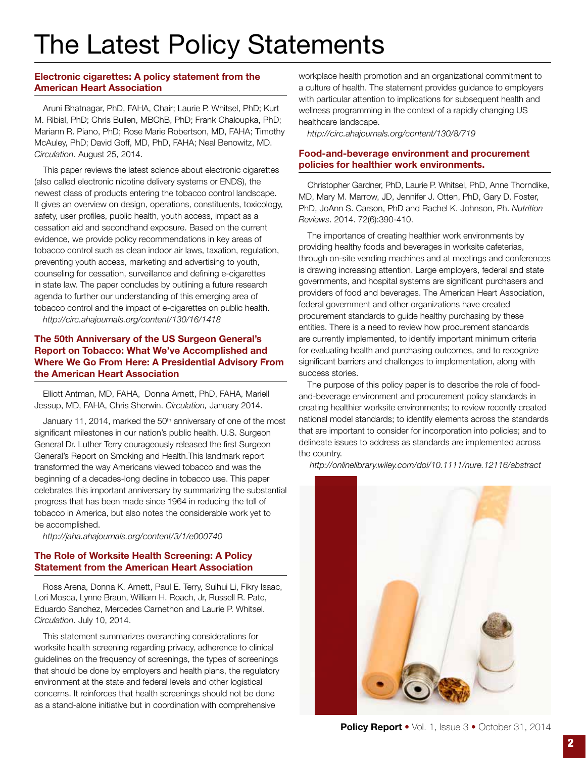# The Latest Policy Statements

# Electronic cigarettes: A policy statement from the American Heart Association

Aruni Bhatnagar, PhD, FAHA, Chair; Laurie P. Whitsel, PhD; Kurt M. Ribisl, PhD; Chris Bullen, MBChB, PhD; Frank Chaloupka, PhD; Mariann R. Piano, PhD; Rose Marie Robertson, MD, FAHA; Timothy McAuley, PhD; David Goff, MD, PhD, FAHA; Neal Benowitz, MD. *Circulation*. August 25, 2014.

This paper reviews the latest science about electronic cigarettes (also called electronic nicotine delivery systems or ENDS), the newest class of products entering the tobacco control landscape. It gives an overview on design, operations, constituents, toxicology, safety, user profiles, public health, youth access, impact as a cessation aid and secondhand exposure. Based on the current evidence, we provide policy recommendations in key areas of tobacco control such as clean indoor air laws, taxation, regulation, preventing youth access, marketing and advertising to youth, counseling for cessation, surveillance and defining e-cigarettes in state law. The paper concludes by outlining a future research agenda to further our understanding of this emerging area of tobacco control and the impact of e-cigarettes on public health.

*http://circ.ahajournals.org/content/130/16/1418*

# The 50th Anniversary of the US Surgeon General's Report on Tobacco: What We've Accomplished and Where We Go From Here: A Presidential Advisory From the American Heart Association

Elliott Antman, MD, FAHA, Donna Arnett, PhD, FAHA, Mariell Jessup, MD, FAHA, Chris Sherwin. *Circulation,* January 2014.

January 11, 2014, marked the 50<sup>th</sup> anniversary of one of the most significant milestones in our nation's public health. U.S. Surgeon General Dr. Luther Terry courageously released the first Surgeon General's Report on Smoking and Health.This landmark report transformed the way Americans viewed tobacco and was the beginning of a decades-long decline in tobacco use. This paper celebrates this important anniversary by summarizing the substantial progress that has been made since 1964 in reducing the toll of tobacco in America, but also notes the considerable work yet to be accomplished.

*http://jaha.ahajournals.org/content/3/1/e000740*

# The Role of Worksite Health Screening: A Policy Statement from the American Heart Association

Ross Arena, Donna K. Arnett, Paul E. Terry, Suihui Li, Fikry Isaac, Lori Mosca, Lynne Braun, William H. Roach, Jr, Russell R. Pate, Eduardo Sanchez, Mercedes Carnethon and Laurie P. Whitsel. *Circulation*. July 10, 2014.

This statement summarizes overarching considerations for worksite health screening regarding privacy, adherence to clinical guidelines on the frequency of screenings, the types of screenings that should be done by employers and health plans, the regulatory environment at the state and federal levels and other logistical concerns. It reinforces that health screenings should not be done as a stand-alone initiative but in coordination with comprehensive

workplace health promotion and an organizational commitment to a culture of health. The statement provides guidance to employers with particular attention to implications for subsequent health and wellness programming in the context of a rapidly changing US healthcare landscape.

*http://circ.ahajournals.org/content/130/8/719*

# Food-and-beverage environment and procurement policies for healthier work environments.

Christopher Gardner, PhD, Laurie P. Whitsel, PhD, Anne Thorndike, MD, Mary M. Marrow, JD, Jennifer J. Otten, PhD, Gary D. Foster, PhD, JoAnn S. Carson, PhD and Rachel K. Johnson, Ph. *Nutrition Reviews*. 2014. 72(6):390-410.

The importance of creating healthier work environments by providing healthy foods and beverages in worksite cafeterias, through on-site vending machines and at meetings and conferences is drawing increasing attention. Large employers, federal and state governments, and hospital systems are significant purchasers and providers of food and beverages. The American Heart Association, federal government and other organizations have created procurement standards to guide healthy purchasing by these entities. There is a need to review how procurement standards are currently implemented, to identify important minimum criteria for evaluating health and purchasing outcomes, and to recognize significant barriers and challenges to implementation, along with success stories.

The purpose of this policy paper is to describe the role of foodand-beverage environment and procurement policy standards in creating healthier worksite environments; to review recently created national model standards; to identify elements across the standards that are important to consider for incorporation into policies; and to delineate issues to address as standards are implemented across the country.

 *http://onlinelibrary.wiley.com/doi/10.1111/nure.12116/abstract*

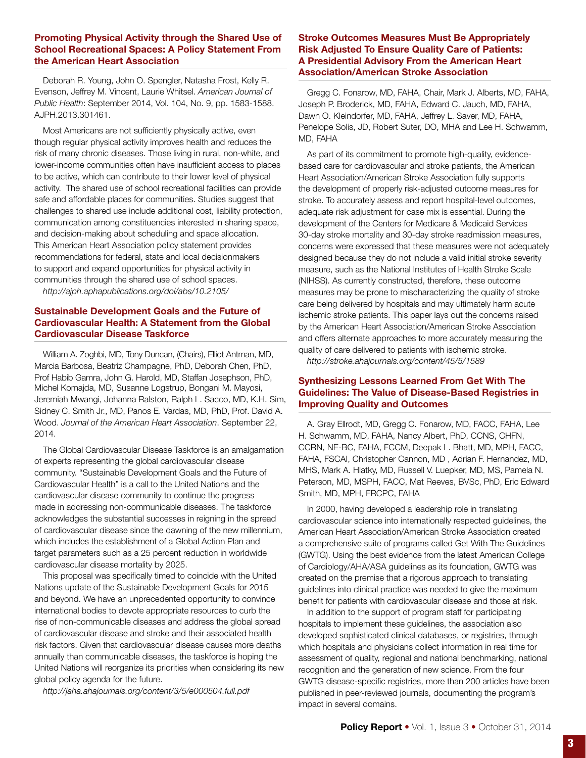# Promoting Physical Activity through the Shared Use of School Recreational Spaces: A Policy Statement From the American Heart Association

Deborah R. Young, John O. Spengler, Natasha Frost, Kelly R. Evenson, Jeffrey M. Vincent, Laurie Whitsel. *American Journal of Public Health*: September 2014, Vol. 104, No. 9, pp. 1583-1588. AJPH.2013.301461.

Most Americans are not sufficiently physically active, even though regular physical activity improves health and reduces the risk of many chronic diseases. Those living in rural, non-white, and lower-income communities often have insufficient access to places to be active, which can contribute to their lower level of physical activity. The shared use of school recreational facilities can provide safe and affordable places for communities. Studies suggest that challenges to shared use include additional cost, liability protection, communication among constituencies interested in sharing space, and decision-making about scheduling and space allocation. This American Heart Association policy statement provides recommendations for federal, state and local decisionmakers to support and expand opportunities for physical activity in communities through the shared use of school spaces.

*http://ajph.aphapublications.org/doi/abs/10.2105/*

# Sustainable Development Goals and the Future of Cardiovascular Health: A Statement from the Global Cardiovascular Disease Taskforce

William A. Zoghbi, MD, Tony Duncan, (Chairs), Elliot Antman, MD, Marcia Barbosa, Beatriz Champagne, PhD, Deborah Chen, PhD, Prof Habib Gamra, John G. Harold, MD, Staffan Josephson, PhD, Michel Komajda, MD, Susanne Logstrup, Bongani M. Mayosi, Jeremiah Mwangi, Johanna Ralston, Ralph L. Sacco, MD, K.H. Sim, Sidney C. Smith Jr., MD, Panos E. Vardas, MD, PhD, Prof. David A. Wood. *Journal of the American Heart Association*. September 22, 2014.

The Global Cardiovascular Disease Taskforce is an amalgamation of experts representing the global cardiovascular disease community. "Sustainable Development Goals and the Future of Cardiovascular Health" is a call to the United Nations and the cardiovascular disease community to continue the progress made in addressing non-communicable diseases. The taskforce acknowledges the substantial successes in reigning in the spread of cardiovascular disease since the dawning of the new millennium, which includes the establishment of a Global Action Plan and target parameters such as a 25 percent reduction in worldwide cardiovascular disease mortality by 2025.

This proposal was specifically timed to coincide with the United Nations update of the Sustainable Development Goals for 2015 and beyond. We have an unprecedented opportunity to convince international bodies to devote appropriate resources to curb the rise of non-communicable diseases and address the global spread of cardiovascular disease and stroke and their associated health risk factors. Given that cardiovascular disease causes more deaths annually than communicable diseases, the taskforce is hoping the United Nations will reorganize its priorities when considering its new global policy agenda for the future.

*http://jaha.ahajournals.org/content/3/5/e000504.full.pdf*

# Stroke Outcomes Measures Must Be Appropriately Risk Adjusted To Ensure Quality Care of Patients: A Presidential Advisory From the American Heart Association/American Stroke Association

Gregg C. Fonarow, MD, FAHA, Chair, Mark J. Alberts, MD, FAHA, Joseph P. Broderick, MD, FAHA, Edward C. Jauch, MD, FAHA, Dawn O. Kleindorfer, MD, FAHA, Jeffrey L. Saver, MD, FAHA, Penelope Solis, JD, Robert Suter, DO, MHA and Lee H. Schwamm, MD, FAHA

As part of its commitment to promote high-quality, evidencebased care for cardiovascular and stroke patients, the American Heart Association/American Stroke Association fully supports the development of properly risk-adjusted outcome measures for stroke. To accurately assess and report hospital-level outcomes, adequate risk adjustment for case mix is essential. During the development of the Centers for Medicare & Medicaid Services 30-day stroke mortality and 30-day stroke readmission measures, concerns were expressed that these measures were not adequately designed because they do not include a valid initial stroke severity measure, such as the National Institutes of Health Stroke Scale (NIHSS). As currently constructed, therefore, these outcome measures may be prone to mischaracterizing the quality of stroke care being delivered by hospitals and may ultimately harm acute ischemic stroke patients. This paper lays out the concerns raised by the American Heart Association/American Stroke Association and offers alternate approaches to more accurately measuring the quality of care delivered to patients with ischemic stroke.

*http://stroke.ahajournals.org/content/45/5/1589*

# Synthesizing Lessons Learned From Get With The Guidelines: The Value of Disease-Based Registries in Improving Quality and Outcomes

A. Gray Ellrodt, MD, Gregg C. Fonarow, MD, FACC, FAHA, Lee H. Schwamm, MD, FAHA, Nancy Albert, PhD, CCNS, CHFN, CCRN, NE-BC, FAHA, FCCM, Deepak L. Bhatt, MD, MPH, FACC, FAHA, FSCAI, Christopher Cannon, MD , Adrian F. Hernandez, MD, MHS, Mark A. Hlatky, MD, Russell V. Luepker, MD, MS, Pamela N. Peterson, MD, MSPH, FACC, Mat Reeves, BVSc, PhD, Eric Edward Smith, MD, MPH, FRCPC, FAHA

In 2000, having developed a leadership role in translating cardiovascular science into internationally respected guidelines, the American Heart Association/American Stroke Association created a comprehensive suite of programs called Get With The Guidelines (GWTG). Using the best evidence from the latest American College of Cardiology/AHA/ASA guidelines as its foundation, GWTG was created on the premise that a rigorous approach to translating guidelines into clinical practice was needed to give the maximum benefit for patients with cardiovascular disease and those at risk.

In addition to the support of program staff for participating hospitals to implement these guidelines, the association also developed sophisticated clinical databases, or registries, through which hospitals and physicians collect information in real time for assessment of quality, regional and national benchmarking, national recognition and the generation of new science. From the four GWTG disease-specific registries, more than 200 articles have been published in peer-reviewed journals, documenting the program's impact in several domains.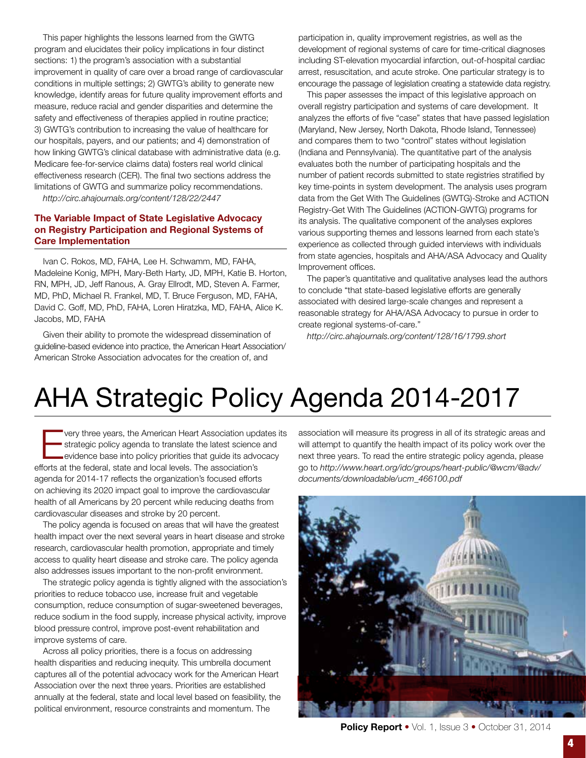This paper highlights the lessons learned from the GWTG program and elucidates their policy implications in four distinct sections: 1) the program's association with a substantial improvement in quality of care over a broad range of cardiovascular conditions in multiple settings; 2) GWTG's ability to generate new knowledge, identify areas for future quality improvement efforts and measure, reduce racial and gender disparities and determine the safety and effectiveness of therapies applied in routine practice; 3) GWTG's contribution to increasing the value of healthcare for our hospitals, payers, and our patients; and 4) demonstration of how linking GWTG's clinical database with administrative data (e.g. Medicare fee-for-service claims data) fosters real world clinical effectiveness research (CER). The final two sections address the limitations of GWTG and summarize policy recommendations.

*http://circ.ahajournals.org/content/128/22/2447*

# The Variable Impact of State Legislative Advocacy on Registry Participation and Regional Systems of Care Implementation

Ivan C. Rokos, MD, FAHA, Lee H. Schwamm, MD, FAHA, Madeleine Konig, MPH, Mary-Beth Harty, JD, MPH, Katie B. Horton, RN, MPH, JD, Jeff Ranous, A. Gray Ellrodt, MD, Steven A. Farmer, MD, PhD, Michael R. Frankel, MD, T. Bruce Ferguson, MD, FAHA, David C. Goff, MD, PhD, FAHA, Loren Hiratzka, MD, FAHA, Alice K. Jacobs, MD, FAHA

Given their ability to promote the widespread dissemination of guideline-based evidence into practice, the American Heart Association/ American Stroke Association advocates for the creation of, and

participation in, quality improvement registries, as well as the development of regional systems of care for time-critical diagnoses including ST-elevation myocardial infarction, out-of-hospital cardiac arrest, resuscitation, and acute stroke. One particular strategy is to encourage the passage of legislation creating a statewide data registry.

This paper assesses the impact of this legislative approach on overall registry participation and systems of care development. It analyzes the efforts of five "case" states that have passed legislation (Maryland, New Jersey, North Dakota, Rhode Island, Tennessee) and compares them to two "control" states without legislation (Indiana and Pennsylvania). The quantitative part of the analysis evaluates both the number of participating hospitals and the number of patient records submitted to state registries stratified by key time-points in system development. The analysis uses program data from the Get With The Guidelines (GWTG)-Stroke and ACTION Registry-Get With The Guidelines (ACTION-GWTG) programs for its analysis. The qualitative component of the analyses explores various supporting themes and lessons learned from each state's experience as collected through guided interviews with individuals from state agencies, hospitals and AHA/ASA Advocacy and Quality Improvement offices.

The paper's quantitative and qualitative analyses lead the authors to conclude "that state-based legislative efforts are generally associated with desired large-scale changes and represent a reasonable strategy for AHA/ASA Advocacy to pursue in order to create regional systems-of-care."

*http://circ.ahajournals.org/content/128/16/1799.short*

# AHA Strategic Policy Agenda 2014-2017

very three years, the American Heart Association updates its strategic policy agenda to translate the latest science and evidence base into policy priorities that guide its advocacy efforts at the federal, state and local levels. The association's agenda for 2014-17 reflects the organization's focused efforts on achieving its 2020 impact goal to improve the cardiovascular health of all Americans by 20 percent while reducing deaths from cardiovascular diseases and stroke by 20 percent.

The policy agenda is focused on areas that will have the greatest health impact over the next several years in heart disease and stroke research, cardiovascular health promotion, appropriate and timely access to quality heart disease and stroke care. The policy agenda also addresses issues important to the non-profit environment.

The strategic policy agenda is tightly aligned with the association's priorities to reduce tobacco use, increase fruit and vegetable consumption, reduce consumption of sugar-sweetened beverages, reduce sodium in the food supply, increase physical activity, improve blood pressure control, improve post-event rehabilitation and improve systems of care.

Across all policy priorities, there is a focus on addressing health disparities and reducing inequity. This umbrella document captures all of the potential advocacy work for the American Heart Association over the next three years. Priorities are established annually at the federal, state and local level based on feasibility, the political environment, resource constraints and momentum. The

association will measure its progress in all of its strategic areas and will attempt to quantify the health impact of its policy work over the next three years. To read the entire strategic policy agenda, please go to *http://www.heart.org/idc/groups/heart-public/@wcm/@adv/ documents/downloadable/ucm\_466100.pdf*



Policy Report • Vol. 1, Issue 3 • October 31, 2014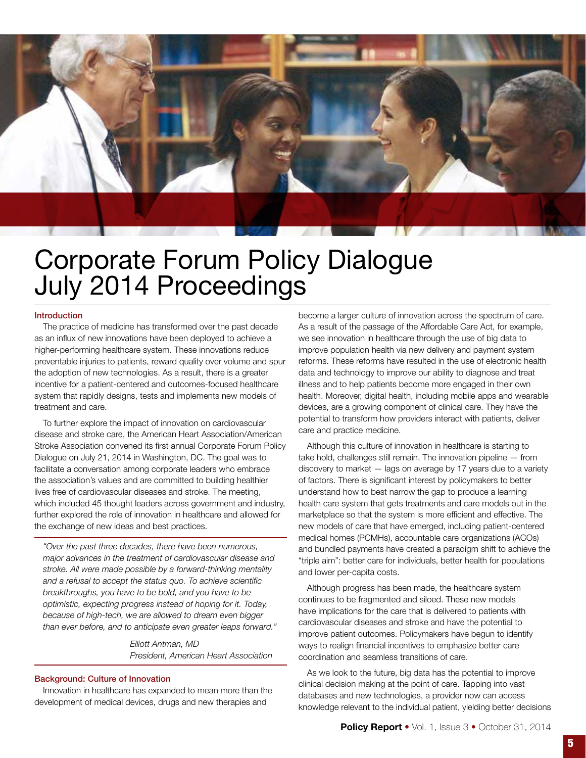

# Corporate Forum Policy Dialogue July 2014 Proceedings

### Introduction

The practice of medicine has transformed over the past decade as an influx of new innovations have been deployed to achieve a higher-performing healthcare system. These innovations reduce preventable injuries to patients, reward quality over volume and spur the adoption of new technologies. As a result, there is a greater incentive for a patient-centered and outcomes-focused healthcare system that rapidly designs, tests and implements new models of treatment and care.

To further explore the impact of innovation on cardiovascular disease and stroke care, the American Heart Association/American Stroke Association convened its first annual Corporate Forum Policy Dialogue on July 21, 2014 in Washington, DC. The goal was to facilitate a conversation among corporate leaders who embrace the association's values and are committed to building healthier lives free of cardiovascular diseases and stroke. The meeting, which included 45 thought leaders across government and industry, further explored the role of innovation in healthcare and allowed for the exchange of new ideas and best practices.

*"Over the past three decades, there have been numerous, major advances in the treatment of cardiovascular disease and stroke. All were made possible by a forward-thinking mentality and a refusal to accept the status quo. To achieve scientific breakthroughs, you have to be bold, and you have to be optimistic, expecting progress instead of hoping for it. Today, because of high-tech, we are allowed to dream even bigger than ever before, and to anticipate even greater leaps forward."*

> *Elliott Antman, MD President, American Heart Association*

### Background: Culture of Innovation

Innovation in healthcare has expanded to mean more than the development of medical devices, drugs and new therapies and

become a larger culture of innovation across the spectrum of care. As a result of the passage of the Affordable Care Act, for example, we see innovation in healthcare through the use of big data to improve population health via new delivery and payment system reforms. These reforms have resulted in the use of electronic health data and technology to improve our ability to diagnose and treat illness and to help patients become more engaged in their own health. Moreover, digital health, including mobile apps and wearable devices, are a growing component of clinical care. They have the potential to transform how providers interact with patients, deliver care and practice medicine.

Although this culture of innovation in healthcare is starting to take hold, challenges still remain. The innovation pipeline — from discovery to market — lags on average by 17 years due to a variety of factors. There is significant interest by policymakers to better understand how to best narrow the gap to produce a learning health care system that gets treatments and care models out in the marketplace so that the system is more efficient and effective. The new models of care that have emerged, including patient-centered medical homes (PCMHs), accountable care organizations (ACOs) and bundled payments have created a paradigm shift to achieve the "triple aim": better care for individuals, better health for populations and lower per-capita costs.

Although progress has been made, the healthcare system continues to be fragmented and siloed. These new models have implications for the care that is delivered to patients with cardiovascular diseases and stroke and have the potential to improve patient outcomes. Policymakers have begun to identify ways to realign financial incentives to emphasize better care coordination and seamless transitions of care.

As we look to the future, big data has the potential to improve clinical decision making at the point of care. Tapping into vast databases and new technologies, a provider now can access knowledge relevant to the individual patient, yielding better decisions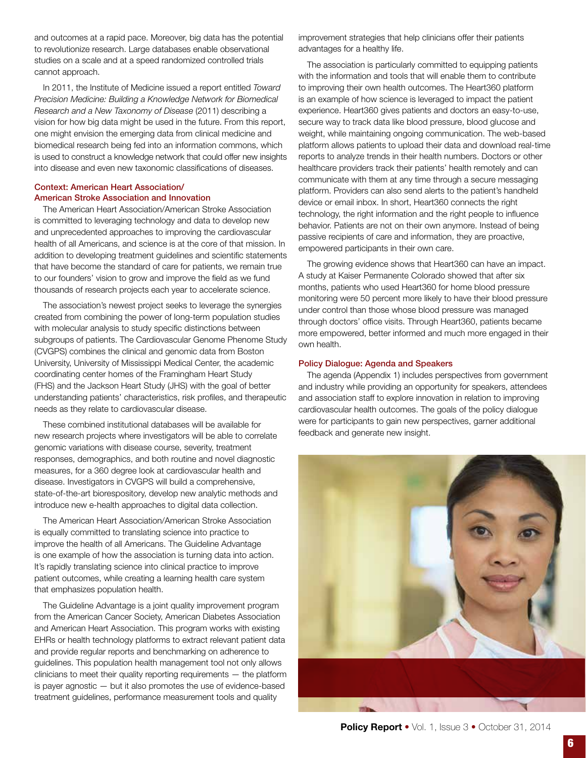and outcomes at a rapid pace. Moreover, big data has the potential to revolutionize research. Large databases enable observational studies on a scale and at a speed randomized controlled trials cannot approach.

In 2011, the Institute of Medicine issued a report entitled *Toward Precision Medicine: Building a Knowledge Network for Biomedical Research and a New Taxonomy of Disease* (2011) describing a vision for how big data might be used in the future. From this report, one might envision the emerging data from clinical medicine and biomedical research being fed into an information commons, which is used to construct a knowledge network that could offer new insights into disease and even new taxonomic classifications of diseases.

### Context: American Heart Association/ American Stroke Association and Innovation

The American Heart Association/American Stroke Association is committed to leveraging technology and data to develop new and unprecedented approaches to improving the cardiovascular health of all Americans, and science is at the core of that mission. In addition to developing treatment guidelines and scientific statements that have become the standard of care for patients, we remain true to our founders' vision to grow and improve the field as we fund thousands of research projects each year to accelerate science.

The association's newest project seeks to leverage the synergies created from combining the power of long-term population studies with molecular analysis to study specific distinctions between subgroups of patients. The Cardiovascular Genome Phenome Study (CVGPS) combines the clinical and genomic data from Boston University, University of Mississippi Medical Center, the academic coordinating center homes of the Framingham Heart Study (FHS) and the Jackson Heart Study (JHS) with the goal of better understanding patients' characteristics, risk profiles, and therapeutic needs as they relate to cardiovascular disease.

These combined institutional databases will be available for new research projects where investigators will be able to correlate genomic variations with disease course, severity, treatment responses, demographics, and both routine and novel diagnostic measures, for a 360 degree look at cardiovascular health and disease. Investigators in CVGPS will build a comprehensive, state-of-the-art biorespository, develop new analytic methods and introduce new e-health approaches to digital data collection.

The American Heart Association/American Stroke Association is equally committed to translating science into practice to improve the health of all Americans. The Guideline Advantage is one example of how the association is turning data into action. It's rapidly translating science into clinical practice to improve patient outcomes, while creating a learning health care system that emphasizes population health.

The Guideline Advantage is a joint quality improvement program from the American Cancer Society, American Diabetes Association and American Heart Association. This program works with existing EHRs or health technology platforms to extract relevant patient data and provide regular reports and benchmarking on adherence to guidelines. This population health management tool not only allows clinicians to meet their quality reporting requirements — the platform is payer agnostic — but it also promotes the use of evidence-based treatment guidelines, performance measurement tools and quality

improvement strategies that help clinicians offer their patients advantages for a healthy life.

The association is particularly committed to equipping patients with the information and tools that will enable them to contribute to improving their own health outcomes. The Heart360 platform is an example of how science is leveraged to impact the patient experience. Heart360 gives patients and doctors an easy-to-use, secure way to track data like blood pressure, blood glucose and weight, while maintaining ongoing communication. The web-based platform allows patients to upload their data and download real-time reports to analyze trends in their health numbers. Doctors or other healthcare providers track their patients' health remotely and can communicate with them at any time through a secure messaging platform. Providers can also send alerts to the patient's handheld device or email inbox. In short, Heart360 connects the right technology, the right information and the right people to influence behavior. Patients are not on their own anymore. Instead of being passive recipients of care and information, they are proactive, empowered participants in their own care.

The growing evidence shows that Heart360 can have an impact. A study at Kaiser Permanente Colorado showed that after six months, patients who used Heart360 for home blood pressure monitoring were 50 percent more likely to have their blood pressure under control than those whose blood pressure was managed through doctors' office visits. Through Heart360, patients became more empowered, better informed and much more engaged in their own health.

### Policy Dialogue: Agenda and Speakers

The agenda (Appendix 1) includes perspectives from government and industry while providing an opportunity for speakers, attendees and association staff to explore innovation in relation to improving cardiovascular health outcomes. The goals of the policy dialogue were for participants to gain new perspectives, garner additional feedback and generate new insight.

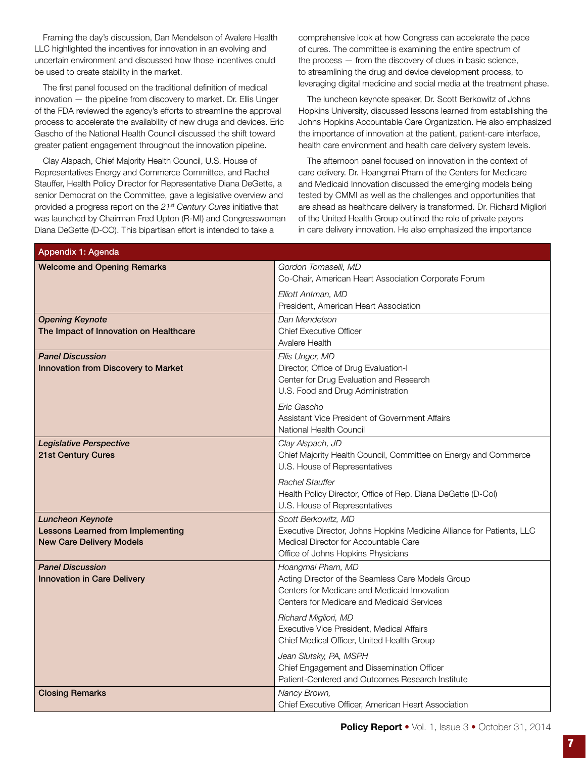Framing the day's discussion, Dan Mendelson of Avalere Health LLC highlighted the incentives for innovation in an evolving and uncertain environment and discussed how those incentives could be used to create stability in the market.

The first panel focused on the traditional definition of medical innovation — the pipeline from discovery to market. Dr. Ellis Unger of the FDA reviewed the agency's efforts to streamline the approval process to accelerate the availability of new drugs and devices. Eric Gascho of the National Health Council discussed the shift toward greater patient engagement throughout the innovation pipeline.

Clay Alspach, Chief Majority Health Council, U.S. House of Representatives Energy and Commerce Committee, and Rachel Stauffer, Health Policy Director for Representative Diana DeGette, a senior Democrat on the Committee, gave a legislative overview and provided a progress report on the *21st Century Cures* initiative that was launched by Chairman Fred Upton (R-MI) and Congresswoman Diana DeGette (D-CO). This bipartisan effort is intended to take a

comprehensive look at how Congress can accelerate the pace of cures. The committee is examining the entire spectrum of the process — from the discovery of clues in basic science, to streamlining the drug and device development process, to leveraging digital medicine and social media at the treatment phase.

The luncheon keynote speaker, Dr. Scott Berkowitz of Johns Hopkins University, discussed lessons learned from establishing the Johns Hopkins Accountable Care Organization. He also emphasized the importance of innovation at the patient, patient-care interface, health care environment and health care delivery system levels.

The afternoon panel focused on innovation in the context of care delivery. Dr. Hoangmai Pham of the Centers for Medicare and Medicaid Innovation discussed the emerging models being tested by CMMI as well as the challenges and opportunities that are ahead as healthcare delivery is transformed. Dr. Richard Migliori of the United Health Group outlined the role of private payors in care delivery innovation. He also emphasized the importance

| Appendix 1: Agenda                                                                                     |                                                                                                                                                                             |  |  |  |  |  |
|--------------------------------------------------------------------------------------------------------|-----------------------------------------------------------------------------------------------------------------------------------------------------------------------------|--|--|--|--|--|
| <b>Welcome and Opening Remarks</b>                                                                     | Gordon Tomaselli, MD<br>Co-Chair, American Heart Association Corporate Forum                                                                                                |  |  |  |  |  |
|                                                                                                        | Elliott Antman, MD<br>President, American Heart Association                                                                                                                 |  |  |  |  |  |
| <b>Opening Keynote</b><br>The Impact of Innovation on Healthcare                                       | Dan Mendelson<br><b>Chief Executive Officer</b><br>Avalere Health                                                                                                           |  |  |  |  |  |
| <b>Panel Discussion</b><br><b>Innovation from Discovery to Market</b>                                  | Ellis Unger, MD<br>Director, Office of Drug Evaluation-I<br>Center for Drug Evaluation and Research<br>U.S. Food and Drug Administration                                    |  |  |  |  |  |
|                                                                                                        | Eric Gascho<br>Assistant Vice President of Government Affairs<br>National Health Council                                                                                    |  |  |  |  |  |
| <b>Legislative Perspective</b><br>21st Century Cures                                                   | Clay Alspach, JD<br>Chief Majority Health Council, Committee on Energy and Commerce<br>U.S. House of Representatives                                                        |  |  |  |  |  |
|                                                                                                        | <b>Rachel Stauffer</b><br>Health Policy Director, Office of Rep. Diana DeGette (D-Col)<br>U.S. House of Representatives                                                     |  |  |  |  |  |
| <b>Luncheon Keynote</b><br><b>Lessons Learned from Implementing</b><br><b>New Care Delivery Models</b> | Scott Berkowitz, MD<br>Executive Director, Johns Hopkins Medicine Alliance for Patients, LLC<br>Medical Director for Accountable Care<br>Office of Johns Hopkins Physicians |  |  |  |  |  |
| <b>Panel Discussion</b><br><b>Innovation in Care Delivery</b>                                          | Hoangmai Pham, MD<br>Acting Director of the Seamless Care Models Group<br>Centers for Medicare and Medicaid Innovation<br>Centers for Medicare and Medicaid Services        |  |  |  |  |  |
|                                                                                                        | Richard Migliori, MD<br>Executive Vice President, Medical Affairs<br>Chief Medical Officer, United Health Group                                                             |  |  |  |  |  |
|                                                                                                        | Jean Slutsky, PA, MSPH<br>Chief Engagement and Dissemination Officer<br>Patient-Centered and Outcomes Research Institute                                                    |  |  |  |  |  |
| <b>Closing Remarks</b>                                                                                 | Nancy Brown,<br>Chief Executive Officer, American Heart Association                                                                                                         |  |  |  |  |  |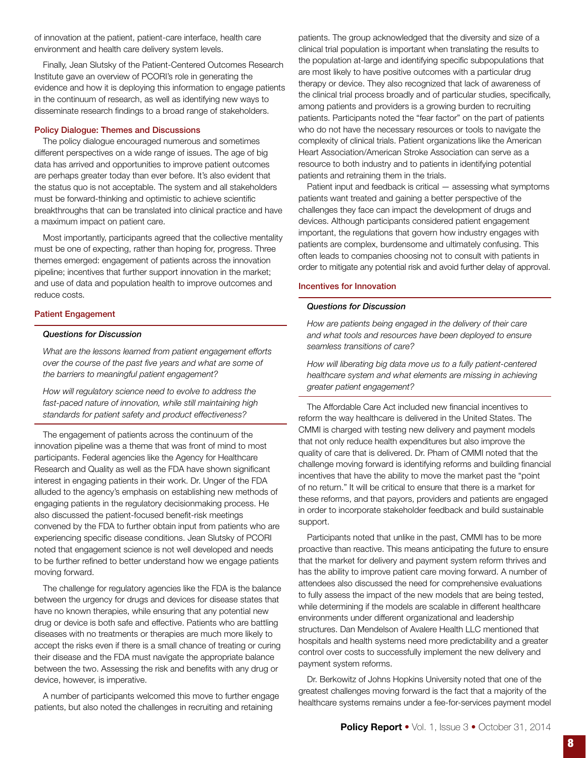of innovation at the patient, patient-care interface, health care environment and health care delivery system levels.

Finally, Jean Slutsky of the Patient-Centered Outcomes Research Institute gave an overview of PCORI's role in generating the evidence and how it is deploying this information to engage patients in the continuum of research, as well as identifying new ways to disseminate research findings to a broad range of stakeholders.

### Policy Dialogue: Themes and Discussions

The policy dialogue encouraged numerous and sometimes different perspectives on a wide range of issues. The age of big data has arrived and opportunities to improve patient outcomes are perhaps greater today than ever before. It's also evident that the status quo is not acceptable. The system and all stakeholders must be forward-thinking and optimistic to achieve scientific breakthroughs that can be translated into clinical practice and have a maximum impact on patient care.

Most importantly, participants agreed that the collective mentality must be one of expecting, rather than hoping for, progress. Three themes emerged: engagement of patients across the innovation pipeline; incentives that further support innovation in the market; and use of data and population health to improve outcomes and reduce costs.

### Patient Engagement

### *Questions for Discussion*

*What are the lessons learned from patient engagement efforts over the course of the past five years and what are some of the barriers to meaningful patient engagement?*

*How will regulatory science need to evolve to address the fast-paced nature of innovation, while still maintaining high standards for patient safety and product effectiveness?*

The engagement of patients across the continuum of the innovation pipeline was a theme that was front of mind to most participants. Federal agencies like the Agency for Healthcare Research and Quality as well as the FDA have shown significant interest in engaging patients in their work. Dr. Unger of the FDA alluded to the agency's emphasis on establishing new methods of engaging patients in the regulatory decisionmaking process. He also discussed the patient-focused benefit-risk meetings convened by the FDA to further obtain input from patients who are experiencing specific disease conditions. Jean Slutsky of PCORI noted that engagement science is not well developed and needs to be further refined to better understand how we engage patients moving forward.

The challenge for regulatory agencies like the FDA is the balance between the urgency for drugs and devices for disease states that have no known therapies, while ensuring that any potential new drug or device is both safe and effective. Patients who are battling diseases with no treatments or therapies are much more likely to accept the risks even if there is a small chance of treating or curing their disease and the FDA must navigate the appropriate balance between the two. Assessing the risk and benefits with any drug or device, however, is imperative.

A number of participants welcomed this move to further engage patients, but also noted the challenges in recruiting and retaining

patients. The group acknowledged that the diversity and size of a clinical trial population is important when translating the results to the population at-large and identifying specific subpopulations that are most likely to have positive outcomes with a particular drug therapy or device. They also recognized that lack of awareness of the clinical trial process broadly and of particular studies, specifically, among patients and providers is a growing burden to recruiting patients. Participants noted the "fear factor" on the part of patients who do not have the necessary resources or tools to navigate the complexity of clinical trials. Patient organizations like the American Heart Association/American Stroke Association can serve as a resource to both industry and to patients in identifying potential patients and retraining them in the trials.

Patient input and feedback is critical — assessing what symptoms patients want treated and gaining a better perspective of the challenges they face can impact the development of drugs and devices. Although participants considered patient engagement important, the regulations that govern how industry engages with patients are complex, burdensome and ultimately confusing. This often leads to companies choosing not to consult with patients in order to mitigate any potential risk and avoid further delay of approval.

### Incentives for Innovation

### *Questions for Discussion*

*How are patients being engaged in the delivery of their care and what tools and resources have been deployed to ensure seamless transitions of care?*

*How will liberating big data move us to a fully patient-centered healthcare system and what elements are missing in achieving greater patient engagement?*

The Affordable Care Act included new financial incentives to reform the way healthcare is delivered in the United States. The CMMI is charged with testing new delivery and payment models that not only reduce health expenditures but also improve the quality of care that is delivered. Dr. Pham of CMMI noted that the challenge moving forward is identifying reforms and building financial incentives that have the ability to move the market past the "point of no return." It will be critical to ensure that there is a market for these reforms, and that payors, providers and patients are engaged in order to incorporate stakeholder feedback and build sustainable support.

Participants noted that unlike in the past, CMMI has to be more proactive than reactive. This means anticipating the future to ensure that the market for delivery and payment system reform thrives and has the ability to improve patient care moving forward. A number of attendees also discussed the need for comprehensive evaluations to fully assess the impact of the new models that are being tested, while determining if the models are scalable in different healthcare environments under different organizational and leadership structures. Dan Mendelson of Avalere Health LLC mentioned that hospitals and health systems need more predictability and a greater control over costs to successfully implement the new delivery and payment system reforms.

Dr. Berkowitz of Johns Hopkins University noted that one of the greatest challenges moving forward is the fact that a majority of the healthcare systems remains under a fee-for-services payment model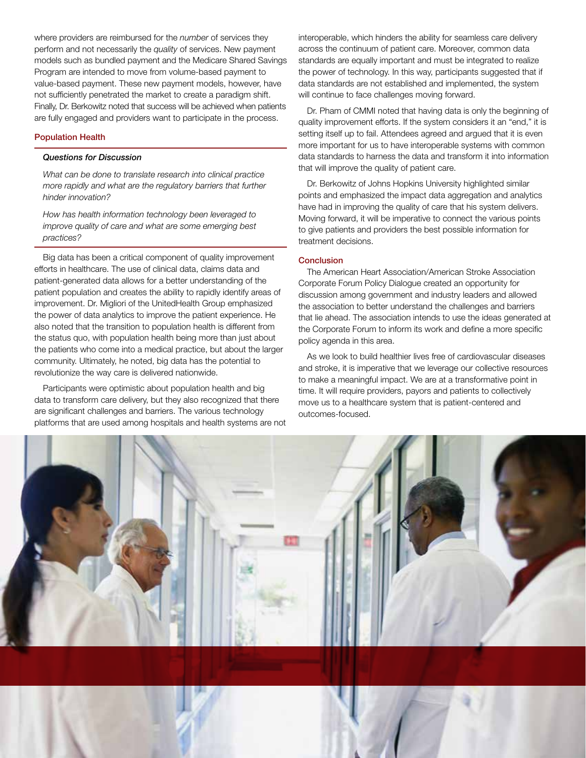where providers are reimbursed for the *number* of services they perform and not necessarily the *quality* of services. New payment models such as bundled payment and the Medicare Shared Savings Program are intended to move from volume-based payment to value-based payment. These new payment models, however, have not sufficiently penetrated the market to create a paradigm shift. Finally, Dr. Berkowitz noted that success will be achieved when patients are fully engaged and providers want to participate in the process.

### Population Health

### *Questions for Discussion*

*What can be done to translate research into clinical practice more rapidly and what are the regulatory barriers that further hinder innovation?*

*How has health information technology been leveraged to improve quality of care and what are some emerging best practices?*

Big data has been a critical component of quality improvement efforts in healthcare. The use of clinical data, claims data and patient-generated data allows for a better understanding of the patient population and creates the ability to rapidly identify areas of improvement. Dr. Migliori of the UnitedHealth Group emphasized the power of data analytics to improve the patient experience. He also noted that the transition to population health is different from the status quo, with population health being more than just about the patients who come into a medical practice, but about the larger community. Ultimately, he noted, big data has the potential to revolutionize the way care is delivered nationwide.

Participants were optimistic about population health and big data to transform care delivery, but they also recognized that there are significant challenges and barriers. The various technology platforms that are used among hospitals and health systems are not

interoperable, which hinders the ability for seamless care delivery across the continuum of patient care. Moreover, common data standards are equally important and must be integrated to realize the power of technology. In this way, participants suggested that if data standards are not established and implemented, the system will continue to face challenges moving forward.

Dr. Pham of CMMI noted that having data is only the beginning of quality improvement efforts. If the system considers it an "end," it is setting itself up to fail. Attendees agreed and argued that it is even more important for us to have interoperable systems with common data standards to harness the data and transform it into information that will improve the quality of patient care.

Dr. Berkowitz of Johns Hopkins University highlighted similar points and emphasized the impact data aggregation and analytics have had in improving the quality of care that his system delivers. Moving forward, it will be imperative to connect the various points to give patients and providers the best possible information for treatment decisions.

### Conclusion

The American Heart Association/American Stroke Association Corporate Forum Policy Dialogue created an opportunity for discussion among government and industry leaders and allowed the association to better understand the challenges and barriers that lie ahead. The association intends to use the ideas generated at the Corporate Forum to inform its work and define a more specific policy agenda in this area.

As we look to build healthier lives free of cardiovascular diseases and stroke, it is imperative that we leverage our collective resources to make a meaningful impact. We are at a transformative point in time. It will require providers, payors and patients to collectively move us to a healthcare system that is patient-centered and outcomes-focused.

Policy Report • Vol. 1, Issue 3 • October 31, Issue 3 • October 31, 2014

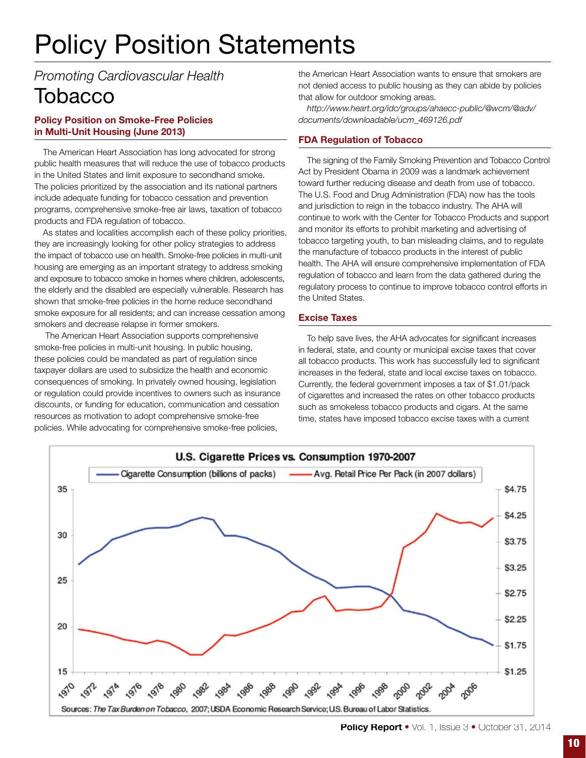# Policy Position Statements

*Promoting Cardiovascular Health* **Tobacco** 

# Policy Position on Smoke-Free Policies in Multi-Unit Housing (June 2013)

The American Heart Association has long advocated for strong public health measures that will reduce the use of tobacco products in the United States and limit exposure to secondhand smoke. The policies prioritized by the association and its national partners include adequate funding for tobacco cessation and prevention programs, comprehensive smoke-free air laws, taxation of tobacco products and FDA regulation of tobacco.

As states and localities accomplish each of these policy priorities, they are increasingly looking for other policy strategies to address the impact of tobacco use on health. Smoke-free policies in multi-unit housing are emerging as an important strategy to address smoking and exposure to tobacco smoke in homes where children, adolescents, the elderly and the disabled are especially vulnerable. Research has shown that smoke-free policies in the home reduce secondhand smoke exposure for all residents; and can increase cessation among smokers and decrease relapse in former smokers.

 The American Heart Association supports comprehensive smoke-free policies in multi-unit housing. In public housing, these policies could be mandated as part of regulation since taxpayer dollars are used to subsidize the health and economic consequences of smoking. In privately owned housing, legislation or regulation could provide incentives to owners such as insurance discounts, or funding for education, communication and cessation resources as motivation to adopt comprehensive smoke-free policies. While advocating for comprehensive smoke-free policies,

the American Heart Association wants to ensure that smokers are not denied access to public housing as they can abide by policies that allow for outdoor smoking areas.

*http://www.heart.org/idc/groups/ahaecc-public/@wcm/@adv/ documents/downloadable/ucm\_469126.pdf* 

# FDA Regulation of Tobacco

The signing of the Family Smoking Prevention and Tobacco Control Act by President Obama in 2009 was a landmark achievement toward further reducing disease and death from use of tobacco. The U.S. Food and Drug Administration (FDA) now has the tools and jurisdiction to reign in the tobacco industry. The AHA will continue to work with the Center for Tobacco Products and support and monitor its efforts to prohibit marketing and advertising of tobacco targeting youth, to ban misleading claims, and to regulate the manufacture of tobacco products in the interest of public health. The AHA will ensure comprehensive implementation of FDA regulation of tobacco and learn from the data gathered during the regulatory process to continue to improve tobacco control efforts in the United States.

# Excise Taxes

To help save lives, the AHA advocates for significant increases in federal, state, and county or municipal excise taxes that cover all tobacco products. This work has successfully led to significant increases in the federal, state and local excise taxes on tobacco. Currently, the federal government imposes a tax of \$1.01/pack of cigarettes and increased the rates on other tobacco products such as smokeless tobacco products and cigars. At the same time, states have imposed tobacco excise taxes with a current



Policy Report • Vol. 1, Issue 3 • October 31, 2014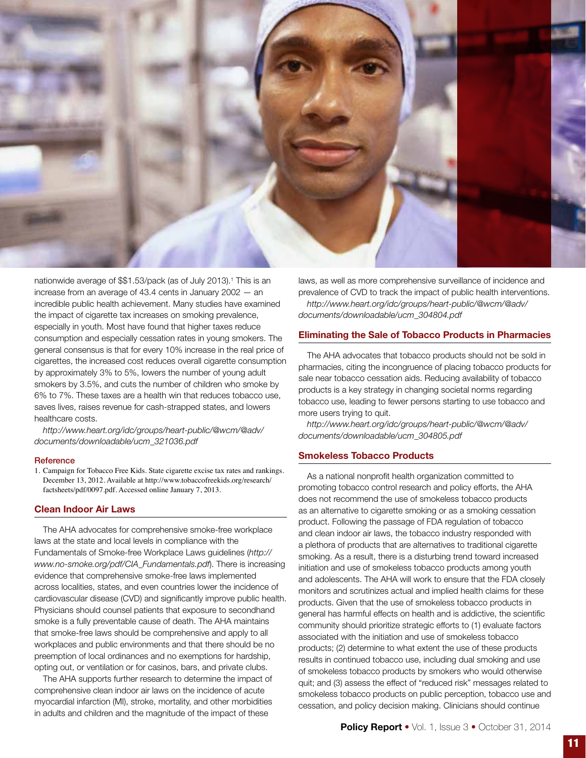

nationwide average of \$\$1.53/pack (as of July 2013).<sup>1</sup> This is an increase from an average of 43.4 cents in January 2002 — an incredible public health achievement. Many studies have examined the impact of cigarette tax increases on smoking prevalence, especially in youth. Most have found that higher taxes reduce consumption and especially cessation rates in young smokers. The general consensus is that for every 10% increase in the real price of cigarettes, the increased cost reduces overall cigarette consumption by approximately 3% to 5%, lowers the number of young adult smokers by 3.5%, and cuts the number of children who smoke by 6% to 7%. These taxes are a health win that reduces tobacco use, saves lives, raises revenue for cash-strapped states, and lowers healthcare costs.

*http://www.heart.org/idc/groups/heart-public/@wcm/@adv/ documents/downloadable/ucm\_321036.pdf*

#### Reference

1. Campaign for Tobacco Free Kids. State cigarette excise tax rates and rankings. December 13, 2012. Available at http://www.tobaccofreekids.org/research/ factsheets/pdf/0097.pdf. Accessed online January 7, 2013.

### Clean Indoor Air Laws

The AHA advocates for comprehensive smoke-free workplace laws at the state and local levels in compliance with the Fundamentals of Smoke-free Workplace Laws guidelines (*http:// www.no-smoke.org/pdf/CIA\_Fundamentals.pdf*). There is increasing evidence that comprehensive smoke-free laws implemented across localities, states, and even countries lower the incidence of cardiovascular disease (CVD) and significantly improve public health. Physicians should counsel patients that exposure to secondhand smoke is a fully preventable cause of death. The AHA maintains that smoke-free laws should be comprehensive and apply to all workplaces and public environments and that there should be no preemption of local ordinances and no exemptions for hardship, opting out, or ventilation or for casinos, bars, and private clubs.

The AHA supports further research to determine the impact of comprehensive clean indoor air laws on the incidence of acute myocardial infarction (MI), stroke, mortality, and other morbidities in adults and children and the magnitude of the impact of these

laws, as well as more comprehensive surveillance of incidence and prevalence of CVD to track the impact of public health interventions. *http://www.heart.org/idc/groups/heart-public/@wcm/@adv/ documents/downloadable/ucm\_304804.pdf*

### Eliminating the Sale of Tobacco Products in Pharmacies

The AHA advocates that tobacco products should not be sold in pharmacies, citing the incongruence of placing tobacco products for sale near tobacco cessation aids. Reducing availability of tobacco products is a key strategy in changing societal norms regarding tobacco use, leading to fewer persons starting to use tobacco and more users trying to quit.

*http://www.heart.org/idc/groups/heart-public/@wcm/@adv/ documents/downloadable/ucm\_304805.pdf*

# Smokeless Tobacco Products

As a national nonprofit health organization committed to promoting tobacco control research and policy efforts, the AHA does not recommend the use of smokeless tobacco products as an alternative to cigarette smoking or as a smoking cessation product. Following the passage of FDA regulation of tobacco and clean indoor air laws, the tobacco industry responded with a plethora of products that are alternatives to traditional cigarette smoking. As a result, there is a disturbing trend toward increased initiation and use of smokeless tobacco products among youth and adolescents. The AHA will work to ensure that the FDA closely monitors and scrutinizes actual and implied health claims for these products. Given that the use of smokeless tobacco products in general has harmful effects on health and is addictive, the scientific community should prioritize strategic efforts to (1) evaluate factors associated with the initiation and use of smokeless tobacco products; (2) determine to what extent the use of these products results in continued tobacco use, including dual smoking and use of smokeless tobacco products by smokers who would otherwise quit; and (3) assess the effect of "reduced risk" messages related to smokeless tobacco products on public perception, tobacco use and cessation, and policy decision making. Clinicians should continue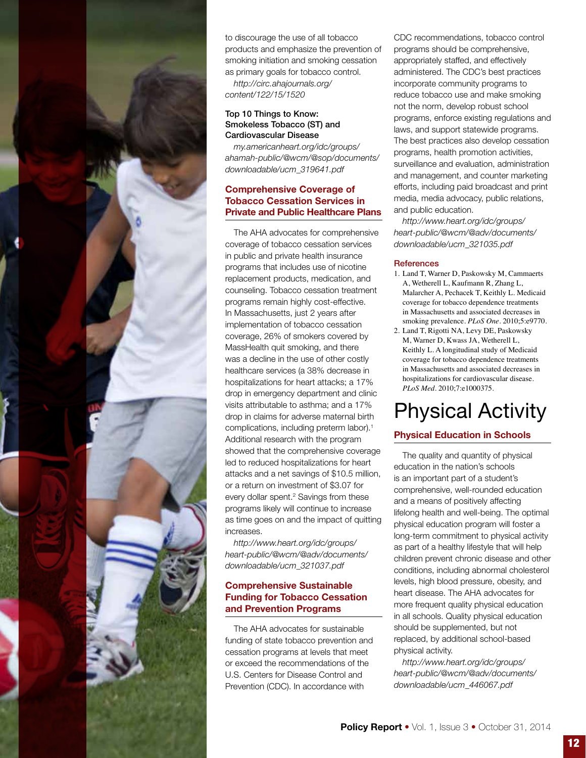

to discourage the use of all tobacco products and emphasize the prevention of smoking initiation and smoking cessation as primary goals for tobacco control.

*http://circ.ahajournals.org/ content/122/15/1520*

# Top 10 Things to Know: Smokeless Tobacco (ST) and Cardiovascular Disease

*my.americanheart.org/idc/groups/ ahamah-public/@wcm/@sop/documents/ downloadable/ucm\_319641.pdf*

# Comprehensive Coverage of Tobacco Cessation Services in Private and Public Healthcare Plans

The AHA advocates for comprehensive coverage of tobacco cessation services in public and private health insurance programs that includes use of nicotine replacement products, medication, and counseling. Tobacco cessation treatment programs remain highly cost-effective. In Massachusetts, just 2 years after implementation of tobacco cessation coverage, 26% of smokers covered by MassHealth quit smoking, and there was a decline in the use of other costly healthcare services (a 38% decrease in hospitalizations for heart attacks; a 17% drop in emergency department and clinic visits attributable to asthma; and a 17% drop in claims for adverse maternal birth complications, including preterm labor).<sup>1</sup> Additional research with the program showed that the comprehensive coverage led to reduced hospitalizations for heart attacks and a net savings of \$10.5 million, or a return on investment of \$3.07 for every dollar spent.<sup>2</sup> Savings from these programs likely will continue to increase as time goes on and the impact of quitting increases.

*http://www.heart.org/idc/groups/ heart-public/@wcm/@adv/documents/ downloadable/ucm\_321037.pdf*

# Comprehensive Sustainable Funding for Tobacco Cessation and Prevention Programs

The AHA advocates for sustainable funding of state tobacco prevention and cessation programs at levels that meet or exceed the recommendations of the U.S. Centers for Disease Control and Prevention (CDC). In accordance with

CDC recommendations, tobacco control programs should be comprehensive, appropriately staffed, and effectively administered. The CDC's best practices incorporate community programs to reduce tobacco use and make smoking not the norm, develop robust school programs, enforce existing regulations and laws, and support statewide programs. The best practices also develop cessation programs, health promotion activities, surveillance and evaluation, administration and management, and counter marketing efforts, including paid broadcast and print media, media advocacy, public relations, and public education.

*http://www.heart.org/idc/groups/ heart-public/@wcm/@adv/documents/ downloadable/ucm\_321035.pdf*

# **References**

- 1. Land T, Warner D, Paskowsky M, Cammaerts A, Wetherell L, Kaufmann R, Zhang L, Malarcher A, Pechacek T, Keithly L. Medicaid coverage for tobacco dependence treatments in Massachusetts and associated decreases in smoking prevalence. *PLoS One*. 2010;5:e9770.
- 2. Land T, Rigotti NA, Levy DE, Paskowsky M, Warner D, Kwass JA, Wetherell L, Keithly L. A longitudinal study of Medicaid coverage for tobacco dependence treatments in Massachusetts and associated decreases in hospitalizations for cardiovascular disease. *PLoS Med*. 2010;7:e1000375.

# Physical Activity

# Physical Education in Schools

The quality and quantity of physical education in the nation's schools is an important part of a student's comprehensive, well-rounded education and a means of positively affecting lifelong health and well-being. The optimal physical education program will foster a long-term commitment to physical activity as part of a healthy lifestyle that will help children prevent chronic disease and other conditions, including abnormal cholesterol levels, high blood pressure, obesity, and heart disease. The AHA advocates for more frequent quality physical education in all schools. Quality physical education should be supplemented, but not replaced, by additional school-based physical activity.

*http://www.heart.org/idc/groups/ heart-public/@wcm/@adv/documents/ downloadable/ucm\_446067.pdf*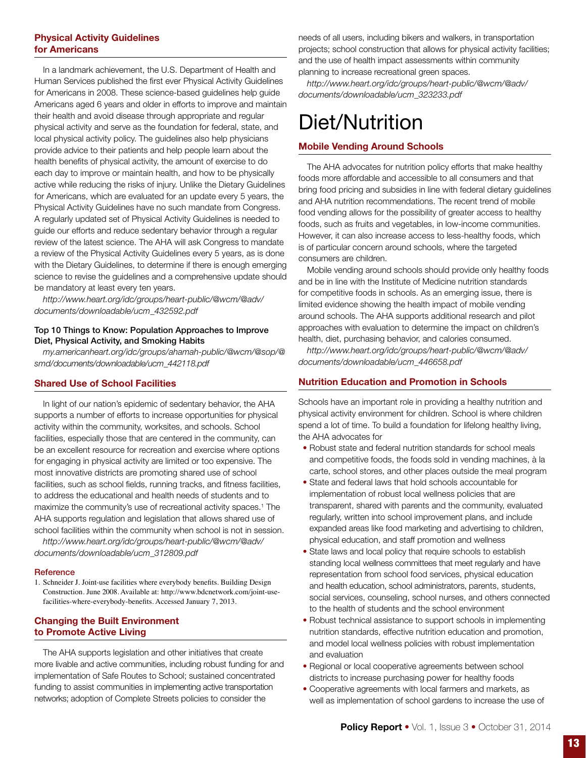# Physical Activity Guidelines for Americans

In a landmark achievement, the U.S. Department of Health and Human Services published the first ever Physical Activity Guidelines for Americans in 2008. These science-based guidelines help guide Americans aged 6 years and older in efforts to improve and maintain their health and avoid disease through appropriate and regular physical activity and serve as the foundation for federal, state, and local physical activity policy. The guidelines also help physicians provide advice to their patients and help people learn about the health benefits of physical activity, the amount of exercise to do each day to improve or maintain health, and how to be physically active while reducing the risks of injury. Unlike the Dietary Guidelines for Americans, which are evaluated for an update every 5 years, the Physical Activity Guidelines have no such mandate from Congress. A regularly updated set of Physical Activity Guidelines is needed to guide our efforts and reduce sedentary behavior through a regular review of the latest science. The AHA will ask Congress to mandate a review of the Physical Activity Guidelines every 5 years, as is done with the Dietary Guidelines, to determine if there is enough emerging science to revise the guidelines and a comprehensive update should be mandatory at least every ten years.

*http://www.heart.org/idc/groups/heart-public/@wcm/@adv/ documents/downloadable/ucm\_432592.pdf*

### Top 10 Things to Know: Population Approaches to Improve Diet, Physical Activity, and Smoking Habits

*my.americanheart.org/idc/groups/ahamah-public/@wcm/@sop/@ smd/documents/downloadable/ucm\_442118.pdf*

# Shared Use of School Facilities

In light of our nation's epidemic of sedentary behavior, the AHA supports a number of efforts to increase opportunities for physical activity within the community, worksites, and schools. School facilities, especially those that are centered in the community, can be an excellent resource for recreation and exercise where options for engaging in physical activity are limited or too expensive. The most innovative districts are promoting shared use of school facilities, such as school fields, running tracks, and fitness facilities, to address the educational and health needs of students and to maximize the community's use of recreational activity spaces.<sup>1</sup> The AHA supports regulation and legislation that allows shared use of school facilities within the community when school is not in session.

*http://www.heart.org/idc/groups/heart-public/@wcm/@adv/ documents/downloadable/ucm\_312809.pdf*

### **Reference**

1. Schneider J. Joint-use facilities where everybody benefits. Building Design Construction. June 2008. Available at: http://www.bdcnetwork.com/joint-usefacilities-where-everybody-benefits. Accessed January 7, 2013.

# Changing the Built Environment to Promote Active Living

The AHA supports legislation and other initiatives that create more livable and active communities, including robust funding for and implementation of Safe Routes to School; sustained concentrated funding to assist communities in implementing active transportation networks; adoption of Complete Streets policies to consider the

needs of all users, including bikers and walkers, in transportation projects; school construction that allows for physical activity facilities; and the use of health impact assessments within community planning to increase recreational green spaces.

*http://www.heart.org/idc/groups/heart-public/@wcm/@adv/ documents/downloadable/ucm\_323233.pdf*

# Diet/Nutrition

# Mobile Vending Around Schools

The AHA advocates for nutrition policy efforts that make healthy foods more affordable and accessible to all consumers and that bring food pricing and subsidies in line with federal dietary guidelines and AHA nutrition recommendations. The recent trend of mobile food vending allows for the possibility of greater access to healthy foods, such as fruits and vegetables, in low-income communities. However, it can also increase access to less-healthy foods, which is of particular concern around schools, where the targeted consumers are children.

Mobile vending around schools should provide only healthy foods and be in line with the Institute of Medicine nutrition standards for competitive foods in schools. As an emerging issue, there is limited evidence showing the health impact of mobile vending around schools. The AHA supports additional research and pilot approaches with evaluation to determine the impact on children's health, diet, purchasing behavior, and calories consumed.

*http://www.heart.org/idc/groups/heart-public/@wcm/@adv/ documents/downloadable/ucm\_446658.pdf*

### Nutrition Education and Promotion in Schools

Schools have an important role in providing a healthy nutrition and physical activity environment for children. School is where children spend a lot of time. To build a foundation for lifelong healthy living, the AHA advocates for

- Robust state and federal nutrition standards for school meals and competitive foods, the foods sold in vending machines, à la carte, school stores, and other places outside the meal program
- State and federal laws that hold schools accountable for implementation of robust local wellness policies that are transparent, shared with parents and the community, evaluated regularly, written into school improvement plans, and include expanded areas like food marketing and advertising to children, physical education, and staff promotion and wellness
- State laws and local policy that require schools to establish standing local wellness committees that meet regularly and have representation from school food services, physical education and health education, school administrators, parents, students, social services, counseling, school nurses, and others connected to the health of students and the school environment
- Robust technical assistance to support schools in implementing nutrition standards, effective nutrition education and promotion, and model local wellness policies with robust implementation and evaluation
- Regional or local cooperative agreements between school districts to increase purchasing power for healthy foods
- Cooperative agreements with local farmers and markets, as well as implementation of school gardens to increase the use of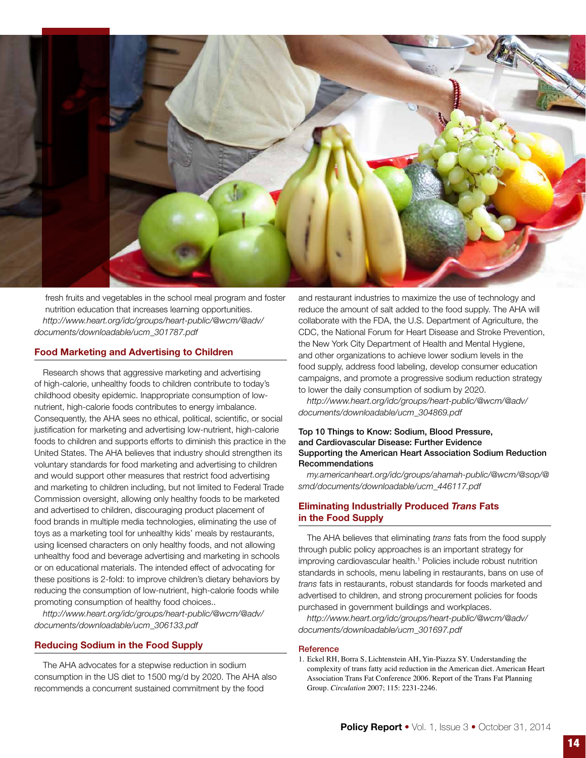

fresh fruits and vegetables in the school meal program and foster nutrition education that increases learning opportunities. *http://www.heart.org/idc/groups/heart-public/@wcm/@adv/ documents/downloadable/ucm\_301787.pdf*

# Food Marketing and Advertising to Children

Research shows that aggressive marketing and advertising of high-calorie, unhealthy foods to children contribute to today's childhood obesity epidemic. Inappropriate consumption of lownutrient, high-calorie foods contributes to energy imbalance. Consequently, the AHA sees no ethical, political, scientific, or social justification for marketing and advertising low-nutrient, high-calorie foods to children and supports efforts to diminish this practice in the United States. The AHA believes that industry should strengthen its voluntary standards for food marketing and advertising to children and would support other measures that restrict food advertising and marketing to children including, but not limited to Federal Trade Commission oversight, allowing only healthy foods to be marketed and advertised to children, discouraging product placement of food brands in multiple media technologies, eliminating the use of toys as a marketing tool for unhealthy kids' meals by restaurants, using licensed characters on only healthy foods, and not allowing unhealthy food and beverage advertising and marketing in schools or on educational materials. The intended effect of advocating for these positions is 2-fold: to improve children's dietary behaviors by reducing the consumption of low-nutrient, high-calorie foods while promoting consumption of healthy food choices..

*http://www.heart.org/idc/groups/heart-public/@wcm/@adv/ documents/downloadable/ucm\_306133.pdf*

### Reducing Sodium in the Food Supply

The AHA advocates for a stepwise reduction in sodium consumption in the US diet to 1500 mg/d by 2020. The AHA also recommends a concurrent sustained commitment by the food

and restaurant industries to maximize the use of technology and reduce the amount of salt added to the food supply. The AHA will collaborate with the FDA, the U.S. Department of Agriculture, the CDC, the National Forum for Heart Disease and Stroke Prevention, the New York City Department of Health and Mental Hygiene, and other organizations to achieve lower sodium levels in the food supply, address food labeling, develop consumer education campaigns, and promote a progressive sodium reduction strategy to lower the daily consumption of sodium by 2020.

*http://www.heart.org/idc/groups/heart-public/@wcm/@adv/ documents/downloadable/ucm\_304869.pdf*

### Top 10 Things to Know: Sodium, Blood Pressure, and Cardiovascular Disease: Further Evidence Supporting the American Heart Association Sodium Reduction Recommendations

*my.americanheart.org/idc/groups/ahamah-public/@wcm/@sop/@ smd/documents/downloadable/ucm\_446117.pdf*

# Eliminating Industrially Produced *Trans* Fats in the Food Supply

The AHA believes that eliminating *trans* fats from the food supply through public policy approaches is an important strategy for improving cardiovascular health.<sup>1</sup> Policies include robust nutrition standards in schools, menu labeling in restaurants, bans on use of *trans* fats in restaurants, robust standards for foods marketed and advertised to children, and strong procurement policies for foods purchased in government buildings and workplaces.

*http://www.heart.org/idc/groups/heart-public/@wcm/@adv/ documents/downloadable/ucm\_301697.pdf*

#### **Reference**

1. Eckel RH, Borra S, Lichtenstein AH, Yin-Piazza SY. Understanding the complexity of trans fatty acid reduction in the American diet. American Heart Association Trans Fat Conference 2006. Report of the Trans Fat Planning Group. *Circulation* 2007; 115: 2231-2246.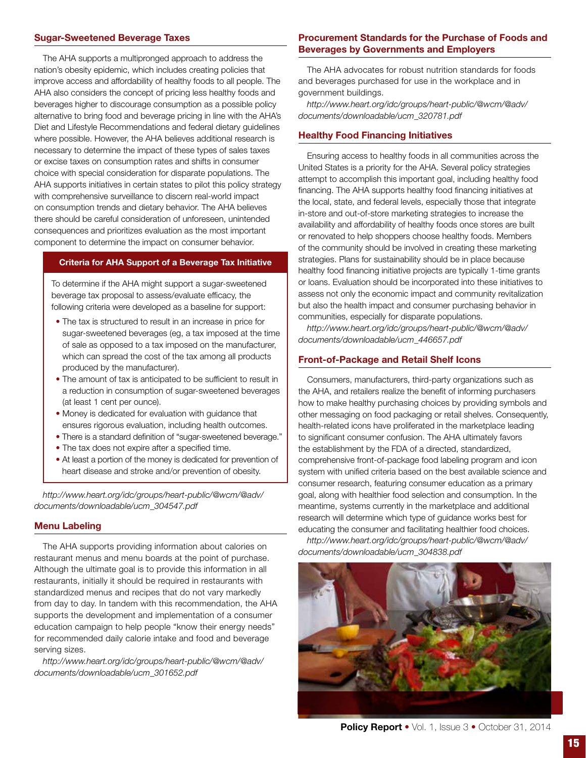# Sugar-Sweetened Beverage Taxes

The AHA supports a multipronged approach to address the nation's obesity epidemic, which includes creating policies that improve access and affordability of healthy foods to all people. The AHA also considers the concept of pricing less healthy foods and beverages higher to discourage consumption as a possible policy alternative to bring food and beverage pricing in line with the AHA's Diet and Lifestyle Recommendations and federal dietary guidelines where possible. However, the AHA believes additional research is necessary to determine the impact of these types of sales taxes or excise taxes on consumption rates and shifts in consumer choice with special consideration for disparate populations. The AHA supports initiatives in certain states to pilot this policy strategy with comprehensive surveillance to discern real-world impact on consumption trends and dietary behavior. The AHA believes there should be careful consideration of unforeseen, unintended consequences and prioritizes evaluation as the most important component to determine the impact on consumer behavior.

### Criteria for AHA Support of a Beverage Tax Initiative

To determine if the AHA might support a sugar-sweetened beverage tax proposal to assess/evaluate efficacy, the following criteria were developed as a baseline for support:

- The tax is structured to result in an increase in price for sugar-sweetened beverages (eg, a tax imposed at the time of sale as opposed to a tax imposed on the manufacturer, which can spread the cost of the tax among all products produced by the manufacturer).
- The amount of tax is anticipated to be sufficient to result in a reduction in consumption of sugar-sweetened beverages (at least 1 cent per ounce).
- Money is dedicated for evaluation with guidance that ensures rigorous evaluation, including health outcomes.
- There is a standard definition of "sugar-sweetened beverage."
- The tax does not expire after a specified time.
- At least a portion of the money is dedicated for prevention of heart disease and stroke and/or prevention of obesity.

*http://www.heart.org/idc/groups/heart-public/@wcm/@adv/ documents/downloadable/ucm\_304547.pdf*

### Menu Labeling

The AHA supports providing information about calories on restaurant menus and menu boards at the point of purchase. Although the ultimate goal is to provide this information in all restaurants, initially it should be required in restaurants with standardized menus and recipes that do not vary markedly from day to day. In tandem with this recommendation, the AHA supports the development and implementation of a consumer education campaign to help people "know their energy needs" for recommended daily calorie intake and food and beverage serving sizes.

*http://www.heart.org/idc/groups/heart-public/@wcm/@adv/ documents/downloadable/ucm\_301652.pdf*

# Procurement Standards for the Purchase of Foods and Beverages by Governments and Employers

The AHA advocates for robust nutrition standards for foods and beverages purchased for use in the workplace and in government buildings.

*http://www.heart.org/idc/groups/heart-public/@wcm/@adv/ documents/downloadable/ucm\_320781.pdf*

### Healthy Food Financing Initiatives

Ensuring access to healthy foods in all communities across the United States is a priority for the AHA. Several policy strategies attempt to accomplish this important goal, including healthy food financing. The AHA supports healthy food financing initiatives at the local, state, and federal levels, especially those that integrate in-store and out-of-store marketing strategies to increase the availability and affordability of healthy foods once stores are built or renovated to help shoppers choose healthy foods. Members of the community should be involved in creating these marketing strategies. Plans for sustainability should be in place because healthy food financing initiative projects are typically 1-time grants or loans. Evaluation should be incorporated into these initiatives to assess not only the economic impact and community revitalization but also the health impact and consumer purchasing behavior in communities, especially for disparate populations.

*http://www.heart.org/idc/groups/heart-public/@wcm/@adv/ documents/downloadable/ucm\_446657.pdf*

### Front-of-Package and Retail Shelf Icons

Consumers, manufacturers, third-party organizations such as the AHA, and retailers realize the benefit of informing purchasers how to make healthy purchasing choices by providing symbols and other messaging on food packaging or retail shelves. Consequently, health-related icons have proliferated in the marketplace leading to significant consumer confusion. The AHA ultimately favors the establishment by the FDA of a directed, standardized, comprehensive front-of-package food labeling program and icon system with unified criteria based on the best available science and consumer research, featuring consumer education as a primary goal, along with healthier food selection and consumption. In the meantime, systems currently in the marketplace and additional research will determine which type of guidance works best for educating the consumer and facilitating healthier food choices.

*http://www.heart.org/idc/groups/heart-public/@wcm/@adv/ documents/downloadable/ucm\_304838.pdf*



**Policy Report •** Vol. 1, Issue 3 • October 31, 2014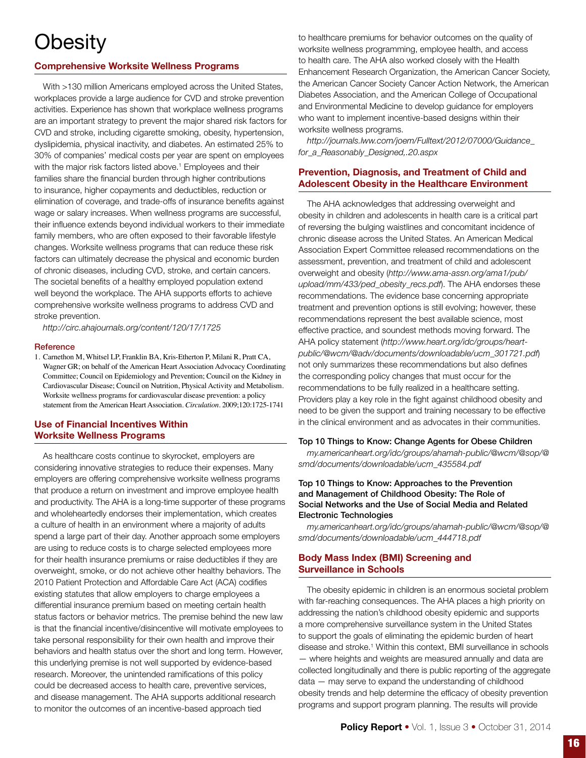# **Obesity**

# Comprehensive Worksite Wellness Programs

With >130 million Americans employed across the United States, workplaces provide a large audience for CVD and stroke prevention activities. Experience has shown that workplace wellness programs are an important strategy to prevent the major shared risk factors for CVD and stroke, including cigarette smoking, obesity, hypertension, dyslipidemia, physical inactivity, and diabetes. An estimated 25% to 30% of companies' medical costs per year are spent on employees with the major risk factors listed above.<sup>1</sup> Employees and their families share the financial burden through higher contributions to insurance, higher copayments and deductibles, reduction or elimination of coverage, and trade-offs of insurance benefits against wage or salary increases. When wellness programs are successful, their influence extends beyond individual workers to their immediate family members, who are often exposed to their favorable lifestyle changes. Worksite wellness programs that can reduce these risk factors can ultimately decrease the physical and economic burden of chronic diseases, including CVD, stroke, and certain cancers. The societal benefits of a healthy employed population extend well beyond the workplace. The AHA supports efforts to achieve comprehensive worksite wellness programs to address CVD and stroke prevention.

*http://circ.ahajournals.org/content/120/17/1725*

### **Reference**

1. Carnethon M, Whitsel LP, Franklin BA, Kris-Etherton P, Milani R, Pratt CA, Wagner GR; on behalf of the American Heart Association Advocacy Coordinating Committee; Council on Epidemiology and Prevention; Council on the Kidney in Cardiovascular Disease; Council on Nutrition, Physical Activity and Metabolism. Worksite wellness programs for cardiovascular disease prevention: a policy statement from the American Heart Association. *Circulation*. 2009;120:1725-1741

# Use of Financial Incentives Within Worksite Wellness Programs

As healthcare costs continue to skyrocket, employers are considering innovative strategies to reduce their expenses. Many employers are offering comprehensive worksite wellness programs that produce a return on investment and improve employee health and productivity. The AHA is a long-time supporter of these programs and wholeheartedly endorses their implementation, which creates a culture of health in an environment where a majority of adults spend a large part of their day. Another approach some employers are using to reduce costs is to charge selected employees more for their health insurance premiums or raise deductibles if they are overweight, smoke, or do not achieve other healthy behaviors. The 2010 Patient Protection and Affordable Care Act (ACA) codifies existing statutes that allow employers to charge employees a differential insurance premium based on meeting certain health status factors or behavior metrics. The premise behind the new law is that the financial incentive/disincentive will motivate employees to take personal responsibility for their own health and improve their behaviors and health status over the short and long term. However, this underlying premise is not well supported by evidence-based research. Moreover, the unintended ramifications of this policy could be decreased access to health care, preventive services, and disease management. The AHA supports additional research to monitor the outcomes of an incentive-based approach tied

to healthcare premiums for behavior outcomes on the quality of worksite wellness programming, employee health, and access to health care. The AHA also worked closely with the Health Enhancement Research Organization, the American Cancer Society, the American Cancer Society Cancer Action Network, the American Diabetes Association, and the American College of Occupational and Environmental Medicine to develop guidance for employers who want to implement incentive-based designs within their worksite wellness programs.

*http://journals.lww.com/joem/Fulltext/2012/07000/Guidance\_ for\_a\_Reasonably\_Designed,.20.aspx*

# Prevention, Diagnosis, and Treatment of Child and Adolescent Obesity in the Healthcare Environment

The AHA acknowledges that addressing overweight and obesity in children and adolescents in health care is a critical part of reversing the bulging waistlines and concomitant incidence of chronic disease across the United States. An American Medical Association Expert Committee released recommendations on the assessment, prevention, and treatment of child and adolescent overweight and obesity (*http://www.ama-assn.org/ama1/pub/ upload/mm/433/ped\_obesity\_recs.pdf*). The AHA endorses these recommendations. The evidence base concerning appropriate treatment and prevention options is still evolving; however, these recommendations represent the best available science, most effective practice, and soundest methods moving forward. The AHA policy statement (*http://www.heart.org/idc/groups/heartpublic/@wcm/@adv/documents/downloadable/ucm\_301721.pdf*) not only summarizes these recommendations but also defines the corresponding policy changes that must occur for the recommendations to be fully realized in a healthcare setting. Providers play a key role in the fight against childhood obesity and need to be given the support and training necessary to be effective in the clinical environment and as advocates in their communities.

### Top 10 Things to Know: Change Agents for Obese Children

*my.americanheart.org/idc/groups/ahamah-public/@wcm/@sop/@ smd/documents/downloadable/ucm\_435584.pdf* 

# Top 10 Things to Know: Approaches to the Prevention and Management of Childhood Obesity: The Role of Social Networks and the Use of Social Media and Related Electronic Technologies

*my.americanheart.org/idc/groups/ahamah-public/@wcm/@sop/@ smd/documents/downloadable/ucm\_444718.pdf* 

# Body Mass Index (BMI) Screening and Surveillance in Schools

The obesity epidemic in children is an enormous societal problem with far-reaching consequences. The AHA places a high priority on addressing the nation's childhood obesity epidemic and supports a more comprehensive surveillance system in the United States to support the goals of eliminating the epidemic burden of heart disease and stroke.<sup>1</sup> Within this context, BMI surveillance in schools — where heights and weights are measured annually and data are collected longitudinally and there is public reporting of the aggregate data — may serve to expand the understanding of childhood obesity trends and help determine the efficacy of obesity prevention programs and support program planning. The results will provide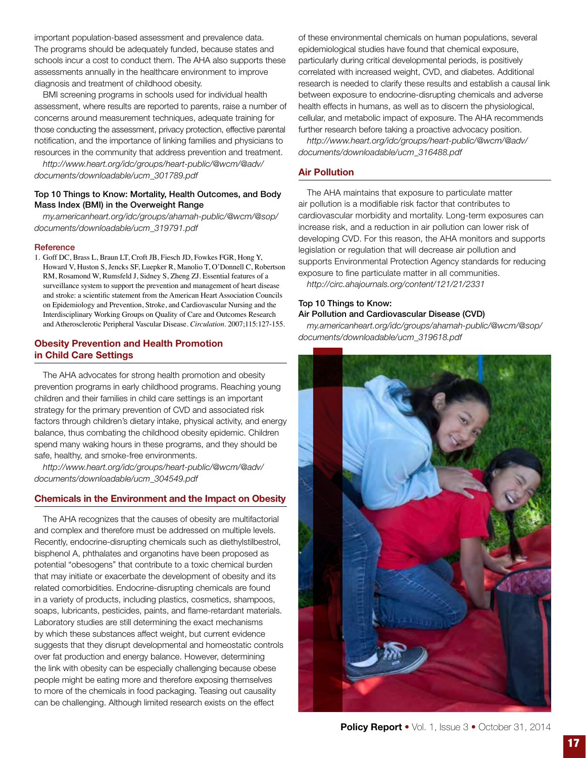important population-based assessment and prevalence data. The programs should be adequately funded, because states and schools incur a cost to conduct them. The AHA also supports these assessments annually in the healthcare environment to improve diagnosis and treatment of childhood obesity.

BMI screening programs in schools used for individual health assessment, where results are reported to parents, raise a number of concerns around measurement techniques, adequate training for those conducting the assessment, privacy protection, effective parental notification, and the importance of linking families and physicians to resources in the community that address prevention and treatment.

*http://www.heart.org/idc/groups/heart-public/@wcm/@adv/ documents/downloadable/ucm\_301789.pdf*

### Top 10 Things to Know: Mortality, Health Outcomes, and Body Mass Index (BMI) in the Overweight Range

*my.americanheart.org/idc/groups/ahamah-public/@wcm/@sop/ documents/downloadable/ucm\_319791.pdf*

### **Reference**

1. Goff DC, Brass L, Braun LT, Croft JB, Fiesch JD, Fowkes FGR, Hong Y, Howard V, Huston S, Jencks SF, Luepker R, Manolio T, O'Donnell C, Robertson RM, Rosamond W, Rumsfeld J, Sidney S, Zheng ZJ. Essential features of a surveillance system to support the prevention and management of heart disease and stroke: a scientific statement from the American Heart Association Councils on Epidemiology and Prevention, Stroke, and Cardiovascular Nursing and the Interdisciplinary Working Groups on Quality of Care and Outcomes Research and Atherosclerotic Peripheral Vascular Disease. *Circulation.* 2007;115:127-155.

# Obesity Prevention and Health Promotion in Child Care Settings

The AHA advocates for strong health promotion and obesity prevention programs in early childhood programs. Reaching young children and their families in child care settings is an important strategy for the primary prevention of CVD and associated risk factors through children's dietary intake, physical activity, and energy balance, thus combating the childhood obesity epidemic. Children spend many waking hours in these programs, and they should be safe, healthy, and smoke-free environments.

*http://www.heart.org/idc/groups/heart-public/@wcm/@adv/ documents/downloadable/ucm\_304549.pdf*

### Chemicals in the Environment and the Impact on Obesity

The AHA recognizes that the causes of obesity are multifactorial and complex and therefore must be addressed on multiple levels. Recently, endocrine-disrupting chemicals such as diethylstilbestrol, bisphenol A, phthalates and organotins have been proposed as potential "obesogens" that contribute to a toxic chemical burden that may initiate or exacerbate the development of obesity and its related comorbidities. Endocrine-disrupting chemicals are found in a variety of products, including plastics, cosmetics, shampoos, soaps, lubricants, pesticides, paints, and flame-retardant materials. Laboratory studies are still determining the exact mechanisms by which these substances affect weight, but current evidence suggests that they disrupt developmental and homeostatic controls over fat production and energy balance. However, determining the link with obesity can be especially challenging because obese people might be eating more and therefore exposing themselves to more of the chemicals in food packaging. Teasing out causality can be challenging. Although limited research exists on the effect

of these environmental chemicals on human populations, several epidemiological studies have found that chemical exposure, particularly during critical developmental periods, is positively correlated with increased weight, CVD, and diabetes. Additional research is needed to clarify these results and establish a causal link between exposure to endocrine-disrupting chemicals and adverse health effects in humans, as well as to discern the physiological, cellular, and metabolic impact of exposure. The AHA recommends further research before taking a proactive advocacy position.

*http://www.heart.org/idc/groups/heart-public/@wcm/@adv/ documents/downloadable/ucm\_316488.pdf*

# Air Pollution

The AHA maintains that exposure to particulate matter air pollution is a modifiable risk factor that contributes to cardiovascular morbidity and mortality. Long-term exposures can increase risk, and a reduction in air pollution can lower risk of developing CVD. For this reason, the AHA monitors and supports legislation or regulation that will decrease air pollution and supports Environmental Protection Agency standards for reducing exposure to fine particulate matter in all communities. *http://circ.ahajournals.org/content/121/21/2331*

### Top 10 Things to Know: Air Pollution and Cardiovascular Disease (CVD)

*my.americanheart.org/idc/groups/ahamah-public/@wcm/@sop/ documents/downloadable/ucm\_319618.pdf* 



Policy Report • Vol. 1, Issue 3 • October 31, 2014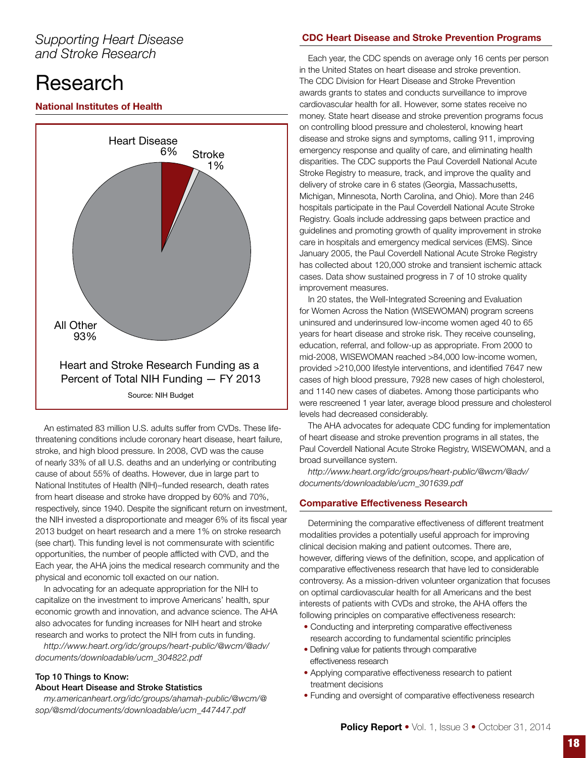# *Supporting Heart Disease and Stroke Research*

# Research

# National Institutes of Health



An estimated 83 million U.S. adults suffer from CVDs. These lifethreatening conditions include coronary heart disease, heart failure, stroke, and high blood pressure. In 2008, CVD was the cause of nearly 33% of all U.S. deaths and an underlying or contributing cause of about 55% of deaths. However, due in large part to National Institutes of Health (NIH)−funded research, death rates from heart disease and stroke have dropped by 60% and 70%, respectively, since 1940. Despite the significant return on investment, the NIH invested a disproportionate and meager 6% of its fiscal year 2013 budget on heart research and a mere 1% on stroke research (see chart). This funding level is not commensurate with scientific opportunities, the number of people afflicted with CVD, and the Each year, the AHA joins the medical research community and the physical and economic toll exacted on our nation.

In advocating for an adequate appropriation for the NIH to capitalize on the investment to improve Americans' health, spur economic growth and innovation, and advance science. The AHA also advocates for funding increases for NIH heart and stroke research and works to protect the NIH from cuts in funding.

*http://www.heart.org/idc/groups/heart-public/@wcm/@adv/ documents/downloadable/ucm\_304822.pdf* 

# Top 10 Things to Know: About Heart Disease and Stroke Statistics

*my.americanheart.org/idc/groups/ahamah-public/@wcm/@ sop/@smd/documents/downloadable/ucm\_447447.pdf*

# CDC Heart Disease and Stroke Prevention Programs

Each year, the CDC spends on average only 16 cents per person in the United States on heart disease and stroke prevention. The CDC Division for Heart Disease and Stroke Prevention awards grants to states and conducts surveillance to improve cardiovascular health for all. However, some states receive no money. State heart disease and stroke prevention programs focus on controlling blood pressure and cholesterol, knowing heart disease and stroke signs and symptoms, calling 911, improving emergency response and quality of care, and eliminating health disparities. The CDC supports the Paul Coverdell National Acute Stroke Registry to measure, track, and improve the quality and delivery of stroke care in 6 states (Georgia, Massachusetts, Michigan, Minnesota, North Carolina, and Ohio). More than 246 hospitals participate in the Paul Coverdell National Acute Stroke Registry. Goals include addressing gaps between practice and guidelines and promoting growth of quality improvement in stroke care in hospitals and emergency medical services (EMS). Since January 2005, the Paul Coverdell National Acute Stroke Registry has collected about 120,000 stroke and transient ischemic attack cases. Data show sustained progress in 7 of 10 stroke quality improvement measures.

In 20 states, the Well-Integrated Screening and Evaluation for Women Across the Nation (WISEWOMAN) program screens uninsured and underinsured low-income women aged 40 to 65 years for heart disease and stroke risk. They receive counseling, education, referral, and follow-up as appropriate. From 2000 to mid-2008, WISEWOMAN reached >84,000 low-income women, provided >210,000 lifestyle interventions, and identified 7647 new cases of high blood pressure, 7928 new cases of high cholesterol, and 1140 new cases of diabetes. Among those participants who were rescreened 1 year later, average blood pressure and cholesterol levels had decreased considerably.

The AHA advocates for adequate CDC funding for implementation of heart disease and stroke prevention programs in all states, the Paul Coverdell National Acute Stroke Registry, WISEWOMAN, and a broad surveillance system.

*http://www.heart.org/idc/groups/heart-public/@wcm/@adv/ documents/downloadable/ucm\_301639.pdf*

# Comparative Effectiveness Research

Determining the comparative effectiveness of different treatment modalities provides a potentially useful approach for improving clinical decision making and patient outcomes. There are, however, differing views of the definition, scope, and application of comparative effectiveness research that have led to considerable controversy. As a mission-driven volunteer organization that focuses on optimal cardiovascular health for all Americans and the best interests of patients with CVDs and stroke, the AHA offers the following principles on comparative effectiveness research:

- Conducting and interpreting comparative effectiveness research according to fundamental scientific principles
- Defining value for patients through comparative effectiveness research
- Applying comparative effectiveness research to patient treatment decisions
- Funding and oversight of comparative effectiveness research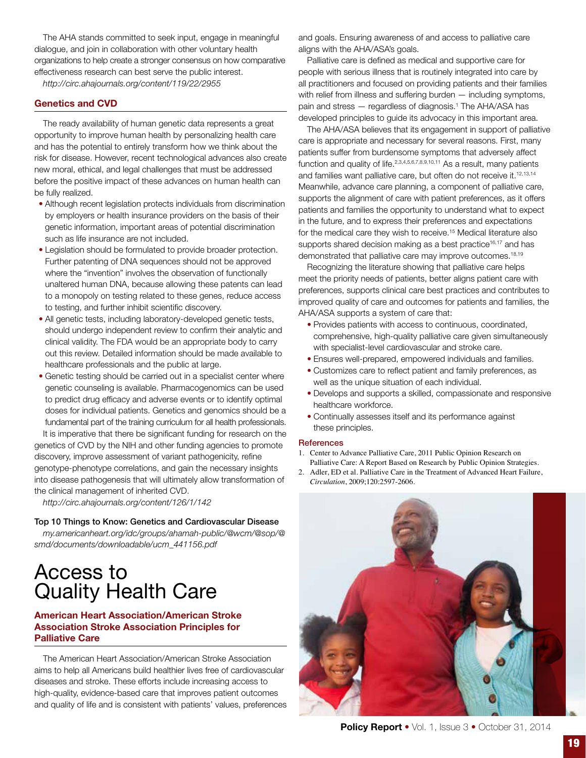The AHA stands committed to seek input, engage in meaningful dialogue, and join in collaboration with other voluntary health organizations to help create a stronger consensus on how comparative effectiveness research can best serve the public interest.

*http://circ.ahajournals.org/content/119/22/2955*

# Genetics and CVD

The ready availability of human genetic data represents a great opportunity to improve human health by personalizing health care and has the potential to entirely transform how we think about the risk for disease. However, recent technological advances also create new moral, ethical, and legal challenges that must be addressed before the positive impact of these advances on human health can be fully realized.

- Although recent legislation protects individuals from discrimination by employers or health insurance providers on the basis of their genetic information, important areas of potential discrimination such as life insurance are not included.
- Legislation should be formulated to provide broader protection. Further patenting of DNA sequences should not be approved where the "invention" involves the observation of functionally unaltered human DNA, because allowing these patents can lead to a monopoly on testing related to these genes, reduce access to testing, and further inhibit scientific discovery.
- All genetic tests, including laboratory-developed genetic tests, should undergo independent review to confirm their analytic and clinical validity. The FDA would be an appropriate body to carry out this review. Detailed information should be made available to healthcare professionals and the public at large.
- Genetic testing should be carried out in a specialist center where genetic counseling is available. Pharmacogenomics can be used to predict drug efficacy and adverse events or to identify optimal doses for individual patients. Genetics and genomics should be a fundamental part of the training curriculum for all health professionals. It is imperative that there be significant funding for research on the

genetics of CVD by the NIH and other funding agencies to promote discovery, improve assessment of variant pathogenicity, refine genotype-phenotype correlations, and gain the necessary insights into disease pathogenesis that will ultimately allow transformation of the clinical management of inherited CVD.

*http://circ.ahajournals.org/content/126/1/142*

# Top 10 Things to Know: Genetics and Cardiovascular Disease

*my.americanheart.org/idc/groups/ahamah-public/@wcm/@sop/@ smd/documents/downloadable/ucm\_441156.pdf*

# Access to Quality Health Care

# American Heart Association/American Stroke Association Stroke Association Principles for Palliative Care

The American Heart Association/American Stroke Association aims to help all Americans build healthier lives free of cardiovascular diseases and stroke. These efforts include increasing access to high-quality, evidence-based care that improves patient outcomes and quality of life and is consistent with patients' values, preferences and goals. Ensuring awareness of and access to palliative care aligns with the AHA/ASA's goals.

Palliative care is defined as medical and supportive care for people with serious illness that is routinely integrated into care by all practitioners and focused on providing patients and their families with relief from illness and suffering burden — including symptoms, pain and stress — regardless of diagnosis.<sup>1</sup> The AHA/ASA has developed principles to guide its advocacy in this important area.

The AHA/ASA believes that its engagement in support of palliative care is appropriate and necessary for several reasons. First, many patients suffer from burdensome symptoms that adversely affect function and quality of life.<sup>2,3,4,5,6,7,8,9,10,11</sup> As a result, many patients and families want palliative care, but often do not receive it.<sup>12,13,14</sup> Meanwhile, advance care planning, a component of palliative care, supports the alignment of care with patient preferences, as it offers patients and families the opportunity to understand what to expect in the future, and to express their preferences and expectations for the medical care they wish to receive.<sup>15</sup> Medical literature also supports shared decision making as a best practice<sup>16,17</sup> and has demonstrated that palliative care may improve outcomes.<sup>18,19</sup>

Recognizing the literature showing that palliative care helps meet the priority needs of patients, better aligns patient care with preferences, supports clinical care best practices and contributes to improved quality of care and outcomes for patients and families, the AHA/ASA supports a system of care that:

- Provides patients with access to continuous, coordinated, comprehensive, high-quality palliative care given simultaneously with specialist-level cardiovascular and stroke care.
- Ensures well-prepared, empowered individuals and families.
- Customizes care to reflect patient and family preferences, as well as the unique situation of each individual.
- Develops and supports a skilled, compassionate and responsive healthcare workforce.
- Continually assesses itself and its performance against these principles.

### **References**

- 1. Center to Advance Palliative Care, 2011 Public Opinion Research on Palliative Care: A Report Based on Research by Public Opinion Strategies.
- 2. Adler, ED et al. Palliative Care in the Treatment of Advanced Heart Failure, *Circulation*, 2009;120:2597-2606.



Policy Report • Vol. 1, Issue 3 • October 31, 2014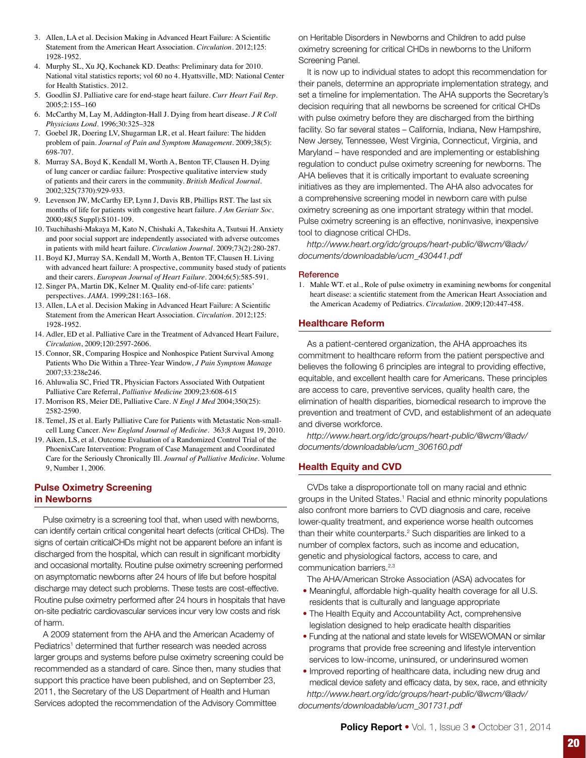- 3. Allen, LA et al. Decision Making in Advanced Heart Failure: A Scientific Statement from the American Heart Association. *Circulation*. 2012;125: 1928-1952.
- 4. Murphy SL, Xu JQ, Kochanek KD. Deaths: Preliminary data for 2010. National vital statistics reports; vol 60 no 4. Hyattsville, MD: National Center for Health Statistics. 2012.
- 5. Goodlin SJ. Palliative care for end-stage heart failure. *Curr Heart Fail Rep*. 2005;2:155–160
- 6. McCarthy M, Lay M, Addington-Hall J. Dying from heart disease. *J R Coll Physicians Lond*. 1996;30:325–328
- 7. Goebel JR, Doering LV, Shugarman LR, et al. Heart failure: The hidden problem of pain. *Journal of Pain and Symptom Management*. 2009;38(5): 698-707.
- 8. Murray SA, Boyd K, Kendall M, Worth A, Benton TF, Clausen H. Dying of lung cancer or cardiac failure: Prospective qualitative interview study of patients and their carers in the community. *British Medical Journal*. 2002;325(7370):929-933.
- 9. Levenson JW, McCarthy EP, Lynn J, Davis RB, Phillips RST. The last six months of life for patients with congestive heart failure. *J Am Geriatr Soc*. 2000;48(5 Suppl):S101-109.
- 10. Tsuchihashi-Makaya M, Kato N, Chishaki A, Takeshita A, Tsutsui H. Anxiety and poor social support are independently associated with adverse outcomes in patients with mild heart failure. *Circulation Journal*. 2009;73(2):280-287.
- 11. Boyd KJ, Murray SA, Kendall M, Worth A, Benton TF, Clausen H. Living with advanced heart failure: A prospective, community based study of patients and their carers. *European Journal of Heart Failure*. 2004;6(5):585-591.
- 12. Singer PA, Martin DK, Kelner M. Quality end-of-life care: patients' perspectives. *JAMA*. 1999;281:163–168.
- 13. Allen, LA et al. Decision Making in Advanced Heart Failure: A Scientific Statement from the American Heart Association. *Circulation*. 2012;125: 1928-1952.
- 14. Adler, ED et al. Palliative Care in the Treatment of Advanced Heart Failure, *Circulation*, 2009;120:2597-2606.
- 15. Connor, SR, Comparing Hospice and Nonhospice Patient Survival Among Patients Who Die Within a Three-Year Window, *J Pain Symptom Manage* 2007;33:238e246.
- 16. Ahluwalia SC, Fried TR, Physician Factors Associated With Outpatient Palliative Care Referral, *Palliative Medicine* 2009;23:608-615
- 17. Morrison RS, Meier DE, Palliative Care. *N Engl J Med* 2004;350(25): 2582-2590.
- 18. Temel, JS et al. Early Palliative Care for Patients with Metastatic Non-smallcell Lung Cancer. *New England Journal of Medicine*. 363;8 August 19, 2010.
- 19. Aiken, LS, et al. Outcome Evaluation of a Randomized Control Trial of the PhoenixCare Intervention: Program of Case Management and Coordinated Care for the Seriously Chronically Ill. *Journal of Palliative Medicine*. Volume 9, Number 1, 2006.

# Pulse Oximetry Screening in Newborns

Pulse oximetry is a screening tool that, when used with newborns, can identify certain critical congenital heart defects (critical CHDs). The signs of certain criticalCHDs might not be apparent before an infant is discharged from the hospital, which can result in significant morbidity and occasional mortality. Routine pulse oximetry screening performed on asymptomatic newborns after 24 hours of life but before hospital discharge may detect such problems. These tests are cost-effective. Routine pulse oximetry performed after 24 hours in hospitals that have on-site pediatric cardiovascular services incur very low costs and risk of harm.

A 2009 statement from the AHA and the American Academy of Pediatrics<sup>1</sup> determined that further research was needed across larger groups and systems before pulse oximetry screening could be recommended as a standard of care. Since then, many studies that support this practice have been published, and on September 23, 2011, the Secretary of the US Department of Health and Human Services adopted the recommendation of the Advisory Committee

on Heritable Disorders in Newborns and Children to add pulse oximetry screening for critical CHDs in newborns to the Uniform Screening Panel.

It is now up to individual states to adopt this recommendation for their panels, determine an appropriate implementation strategy, and set a timeline for implementation. The AHA supports the Secretary's decision requiring that all newborns be screened for critical CHDs with pulse oximetry before they are discharged from the birthing facility. So far several states – California, Indiana, New Hampshire, New Jersey, Tennessee, West Virginia, Connecticut, Virginia, and Maryland – have responded and are implementing or establishing regulation to conduct pulse oximetry screening for newborns. The AHA believes that it is critically important to evaluate screening initiatives as they are implemented. The AHA also advocates for a comprehensive screening model in newborn care with pulse oximetry screening as one important strategy within that model. Pulse oximetry screening is an effective, noninvasive, inexpensive tool to diagnose critical CHDs.

*http://www.heart.org/idc/groups/heart-public/@wcm/@adv/ documents/downloadable/ucm\_430441.pdf*

### **Reference**

1. Mahle WT. et al., Role of pulse oximetry in examining newborns for congenital heart disease: a scientific statement from the American Heart Association and the American Academy of Pediatrics. *Circulation*. 2009;120:447-458.

# Healthcare Reform

As a patient-centered organization, the AHA approaches its commitment to healthcare reform from the patient perspective and believes the following 6 principles are integral to providing effective, equitable, and excellent health care for Americans. These principles are access to care, preventive services, quality health care, the elimination of health disparities, biomedical research to improve the prevention and treatment of CVD, and establishment of an adequate and diverse workforce.

*http://www.heart.org/idc/groups/heart-public/@wcm/@adv/ documents/downloadable/ucm\_306160.pdf* 

# Health Equity and CVD

CVDs take a disproportionate toll on many racial and ethnic groups in the United States.<sup>1</sup> Racial and ethnic minority populations also confront more barriers to CVD diagnosis and care, receive lower-quality treatment, and experience worse health outcomes than their white counterparts.<sup>2</sup> Such disparities are linked to a number of complex factors, such as income and education, genetic and physiological factors, access to care, and communication barriers.2,3

The AHA/American Stroke Association (ASA) advocates for

- Meaningful, affordable high-quality health coverage for all U.S. residents that is culturally and language appropriate
- The Health Equity and Accountability Act, comprehensive legislation designed to help eradicate health disparities
- Funding at the national and state levels for WISEWOMAN or similar programs that provide free screening and lifestyle intervention services to low-income, uninsured, or underinsured women
- Improved reporting of healthcare data, including new drug and medical device safety and efficacy data, by sex, race, and ethnicity *http://www.heart.org/idc/groups/heart-public/@wcm/@adv/ documents/downloadable/ucm\_301731.pdf*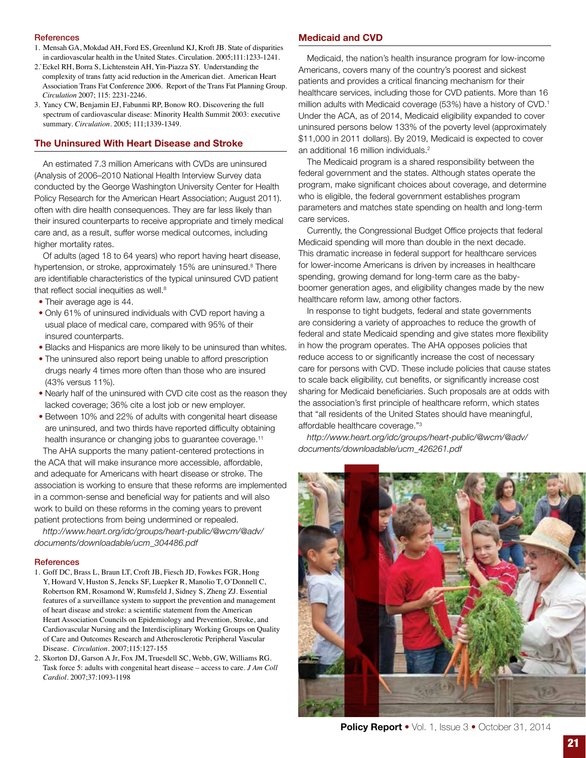#### **References**

- 1. Mensah GA, Mokdad AH, Ford ES, Greenlund KJ, Kroft JB. State of disparities in cardiovascular health in the United States. Circulation. 2005;111:1233-1241.
- 2.`Eckel RH, Borra S, Lichtenstein AH, Yin-Piazza SY. Understanding the complexity of trans fatty acid reduction in the American diet. American Heart Association Trans Fat Conference 2006. Report of the Trans Fat Planning Group. *Circulation* 2007; 115: 2231-2246.
- 3. Yancy CW, Benjamin EJ, Fabunmi RP, Bonow RO. Discovering the full spectrum of cardiovascular disease: Minority Health Summit 2003: executive summary. *Circulation*. 2005; 111;1339-1349.

### The Uninsured With Heart Disease and Stroke

An estimated 7.3 million Americans with CVDs are uninsured (Analysis of 2006–2010 National Health Interview Survey data conducted by the George Washington University Center for Health Policy Research for the American Heart Association; August 2011). often with dire health consequences. They are far less likely than their insured counterparts to receive appropriate and timely medical care and, as a result, suffer worse medical outcomes, including higher mortality rates.

Of adults (aged 18 to 64 years) who report having heart disease, hypertension, or stroke, approximately 15% are uninsured.<sup>8</sup> There are identifiable characteristics of the typical uninsured CVD patient that reflect social inequities as well.<sup>8</sup>

- Their average age is 44.
- Only 61% of uninsured individuals with CVD report having a usual place of medical care, compared with 95% of their insured counterparts.
- Blacks and Hispanics are more likely to be uninsured than whites.
- The uninsured also report being unable to afford prescription drugs nearly 4 times more often than those who are insured (43% versus 11%).
- Nearly half of the uninsured with CVD cite cost as the reason they lacked coverage; 36% cite a lost job or new employer.
- Between 10% and 22% of adults with congenital heart disease are uninsured, and two thirds have reported difficulty obtaining health insurance or changing jobs to guarantee coverage.<sup>11</sup>

The AHA supports the many patient-centered protections in the ACA that will make insurance more accessible, affordable, and adequate for Americans with heart disease or stroke. The association is working to ensure that these reforms are implemented in a common-sense and beneficial way for patients and will also work to build on these reforms in the coming years to prevent patient protections from being undermined or repealed.

*http://www.heart.org/idc/groups/heart-public/@wcm/@adv/ documents/downloadable/ucm\_304486.pdf*

#### **References**

- 1. Goff DC, Brass L, Braun LT, Croft JB, Fiesch JD, Fowkes FGR, Hong Y, Howard V, Huston S, Jencks SF, Luepker R, Manolio T, O'Donnell C, Robertson RM, Rosamond W, Rumsfeld J, Sidney S, Zheng ZJ. Essential features of a surveillance system to support the prevention and management of heart disease and stroke: a scientific statement from the American Heart Association Councils on Epidemiology and Prevention, Stroke, and Cardiovascular Nursing and the Interdisciplinary Working Groups on Quality of Care and Outcomes Research and Atherosclerotic Peripheral Vascular Disease. *Circulation*. 2007;115:127-155
- 2. Skorton DJ, Garson A Jr, Fox JM, Truesdell SC, Webb, GW, Williams RG. Task force 5: adults with congenital heart disease – access to care. *J Am Coll Cardiol*. 2007;37:1093-1198

### Medicaid and CVD

Medicaid, the nation's health insurance program for low-income Americans, covers many of the country's poorest and sickest patients and provides a critical financing mechanism for their healthcare services, including those for CVD patients. More than 16 million adults with Medicaid coverage (53%) have a history of CVD.<sup>1</sup> Under the ACA, as of 2014, Medicaid eligibility expanded to cover uninsured persons below 133% of the poverty level (approximately \$11,000 in 2011 dollars). By 2019, Medicaid is expected to cover an additional 16 million individuals.<sup>2</sup>

The Medicaid program is a shared responsibility between the federal government and the states. Although states operate the program, make significant choices about coverage, and determine who is eligible, the federal government establishes program parameters and matches state spending on health and long-term care services.

Currently, the Congressional Budget Office projects that federal Medicaid spending will more than double in the next decade. This dramatic increase in federal support for healthcare services for lower-income Americans is driven by increases in healthcare spending, growing demand for long-term care as the babyboomer generation ages, and eligibility changes made by the new healthcare reform law, among other factors.

In response to tight budgets, federal and state governments are considering a variety of approaches to reduce the growth of federal and state Medicaid spending and give states more flexibility in how the program operates. The AHA opposes policies that reduce access to or significantly increase the cost of necessary care for persons with CVD. These include policies that cause states to scale back eligibility, cut benefits, or significantly increase cost sharing for Medicaid beneficiaries. Such proposals are at odds with the association's first principle of healthcare reform, which states that "all residents of the United States should have meaningful, affordable healthcare coverage."3

*http://www.heart.org/idc/groups/heart-public/@wcm/@adv/ documents/downloadable/ucm\_426261.pdf* 



Policy Report • Vol. 1, Issue 3 • October 31, 2014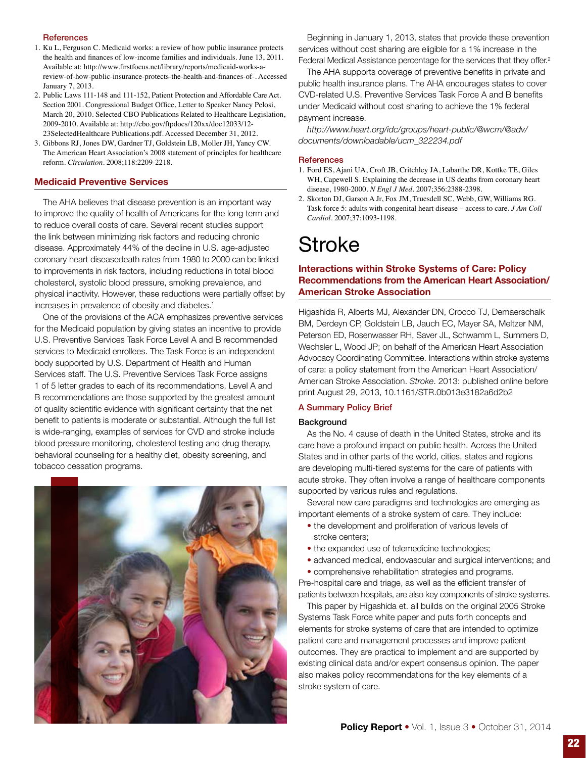### **References**

- 1. Ku L, Ferguson C. Medicaid works: a review of how public insurance protects the health and finances of low-income families and individuals. June 13, 2011. Available at: http://www.firstfocus.net/library/reports/medicaid-works-areview-of-how-public-insurance-protects-the-health-and-finances-of-. Accessed January 7, 2013.
- 2. Public Laws 111-148 and 111-152, Patient Protection and Affordable Care Act. Section 2001. Congressional Budget Office, Letter to Speaker Nancy Pelosi, March 20, 2010. Selected CBO Publications Related to Healthcare Legislation, 2009-2010. Available at: http://cbo.gov/ftpdocs/120xx/doc12033/12- 23SelectedHealthcare Publications.pdf. Accessed December 31, 2012.
- 3. Gibbons RJ, Jones DW, Gardner TJ, Goldstein LB, Moller JH, Yancy CW. The American Heart Association's 2008 statement of principles for healthcare reform. *Circulation*. 2008;118:2209-2218.

### Medicaid Preventive Services

The AHA believes that disease prevention is an important way to improve the quality of health of Americans for the long term and to reduce overall costs of care. Several recent studies support the link between minimizing risk factors and reducing chronic disease. Approximately 44% of the decline in U.S. age-adjusted coronary heart diseasedeath rates from 1980 to 2000 can be linked to improvements in risk factors, including reductions in total blood cholesterol, systolic blood pressure, smoking prevalence, and physical inactivity. However, these reductions were partially offset by increases in prevalence of obesity and diabetes.<sup>1</sup>

One of the provisions of the ACA emphasizes preventive services for the Medicaid population by giving states an incentive to provide U.S. Preventive Services Task Force Level A and B recommended services to Medicaid enrollees. The Task Force is an independent body supported by U.S. Department of Health and Human Services staff. The U.S. Preventive Services Task Force assigns 1 of 5 letter grades to each of its recommendations. Level A and B recommendations are those supported by the greatest amount of quality scientific evidence with significant certainty that the net benefit to patients is moderate or substantial. Although the full list is wide-ranging, examples of services for CVD and stroke include blood pressure monitoring, cholesterol testing and drug therapy, behavioral counseling for a healthy diet, obesity screening, and tobacco cessation programs.



Beginning in January 1, 2013, states that provide these prevention services without cost sharing are eligible for a 1% increase in the Federal Medical Assistance percentage for the services that they offer.<sup>2</sup>

The AHA supports coverage of preventive benefits in private and public health insurance plans. The AHA encourages states to cover CVD-related U.S. Preventive Services Task Force A and B benefits under Medicaid without cost sharing to achieve the 1% federal payment increase.

*http://www.heart.org/idc/groups/heart-public/@wcm/@adv/ documents/downloadable/ucm\_322234.pdf*

#### **References**

- 1. Ford ES, Ajani UA, Croft JB, Critchley JA, Labarthe DR, Kottke TE, Giles WH, Capewell S. Explaining the decrease in US deaths from coronary heart disease, 1980-2000. *N Engl J Med*. 2007;356:2388-2398.
- 2. Skorton DJ, Garson A Jr, Fox JM, Truesdell SC, Webb, GW, Williams RG. Task force 5: adults with congenital heart disease – access to care. *J Am Coll Cardiol*. 2007;37:1093-1198.

# **Stroke**

# Interactions within Stroke Systems of Care: Policy Recommendations from the American Heart Association/ American Stroke Association

Higashida R, Alberts MJ, Alexander DN, Crocco TJ, Demaerschalk BM, Derdeyn CP, Goldstein LB, Jauch EC, Mayer SA, Meltzer NM, Peterson ED, Rosenwasser RH, Saver JL, Schwamm L, Summers D, Wechsler L, Wood JP; on behalf of the American Heart Association Advocacy Coordinating Committee. Interactions within stroke systems of care: a policy statement from the American Heart Association/ American Stroke Association. *Stroke*. 2013: published online before print August 29, 2013, 10.1161/STR.0b013e3182a6d2b2

# A Summary Policy Brief

### **Background**

As the No. 4 cause of death in the United States, stroke and its care have a profound impact on public health. Across the United States and in other parts of the world, cities, states and regions are developing multi-tiered systems for the care of patients with acute stroke. They often involve a range of healthcare components supported by various rules and regulations.

Several new care paradigms and technologies are emerging as important elements of a stroke system of care. They include:

- the development and proliferation of various levels of stroke centers;
- the expanded use of telemedicine technologies;
- advanced medical, endovascular and surgical interventions; and
- comprehensive rehabilitation strategies and programs.

Pre-hospital care and triage, as well as the efficient transfer of patients between hospitals, are also key components of stroke systems.

This paper by Higashida et. all builds on the original 2005 Stroke Systems Task Force white paper and puts forth concepts and elements for stroke systems of care that are intended to optimize patient care and management processes and improve patient outcomes. They are practical to implement and are supported by existing clinical data and/or expert consensus opinion. The paper also makes policy recommendations for the key elements of a stroke system of care.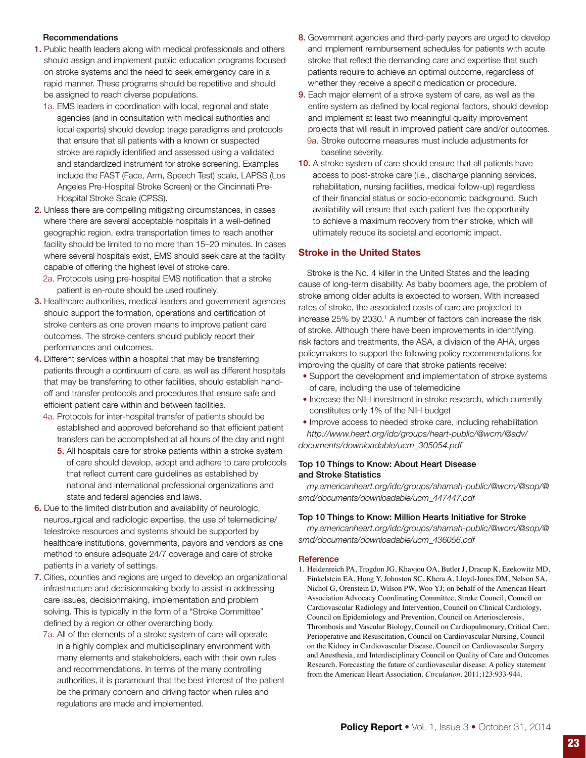# Recommendations

- 1. Public health leaders along with medical professionals and others should assign and implement public education programs focused on stroke systems and the need to seek emergency care in a rapid manner. These programs should be repetitive and should be assigned to reach diverse populations.
	- 1a. EMS leaders in coordination with local, regional and state agencies (and in consultation with medical authorities and local experts) should develop triage paradigms and protocols that ensure that all patients with a known or suspected stroke are rapidly identified and assessed using a validated and standardized instrument for stroke screening. Examples include the FAST (Face, Arm, Speech Test) scale, LAPSS (Los Angeles Pre-Hospital Stroke Screen) or the Cincinnati Pre-Hospital Stroke Scale (CPSS).
- 2. Unless there are compelling mitigating circumstances, in cases where there are several acceptable hospitals in a well-defined geographic region, extra transportation times to reach another facility should be limited to no more than 15–20 minutes. In cases where several hospitals exist, EMS should seek care at the facility capable of offering the highest level of stroke care.
	- 2a. Protocols using pre-hospital EMS notification that a stroke patient is en-route should be used routinely.
- 3. Healthcare authorities, medical leaders and government agencies should support the formation, operations and certification of stroke centers as one proven means to improve patient care outcomes. The stroke centers should publicly report their performances and outcomes.
- 4. Different services within a hospital that may be transferring patients through a continuum of care, as well as different hospitals that may be transferring to other facilities, should establish handoff and transfer protocols and procedures that ensure safe and efficient patient care within and between facilities.
	- 4a. Protocols for inter-hospital transfer of patients should be established and approved beforehand so that efficient patient transfers can be accomplished at all hours of the day and night
		- 5. All hospitals care for stroke patients within a stroke system of care should develop, adopt and adhere to care protocols that reflect current care guidelines as established by national and international professional organizations and state and federal agencies and laws.
- 6. Due to the limited distribution and availability of neurologic, neurosurgical and radiologic expertise, the use of telemedicine/ telestroke resources and systems should be supported by healthcare institutions, governments, payors and vendors as one method to ensure adequate 24/7 coverage and care of stroke patients in a variety of settings.
- 7. Cities, counties and regions are urged to develop an organizational infrastructure and decisionmaking body to assist in addressing care issues, decisionmaking, implementation and problem solving. This is typically in the form of a "Stroke Committee" defined by a region or other overarching body.
	- 7a. All of the elements of a stroke system of care will operate in a highly complex and multidisciplinary environment with many elements and stakeholders, each with their own rules and recommendations. In terms of the many controlling authorities, it is paramount that the best interest of the patient be the primary concern and driving factor when rules and regulations are made and implemented.
- 8. Government agencies and third-party payors are urged to develop and implement reimbursement schedules for patients with acute stroke that reflect the demanding care and expertise that such patients require to achieve an optimal outcome, regardless of whether they receive a specific medication or procedure.
- 9. Each major element of a stroke system of care, as well as the entire system as defined by local regional factors, should develop and implement at least two meaningful quality improvement projects that will result in improved patient care and/or outcomes. 9a. Stroke outcome measures must include adjustments for baseline severity.
- 10. A stroke system of care should ensure that all patients have access to post-stroke care (i.e., discharge planning services, rehabilitation, nursing facilities, medical follow-up) regardless of their financial status or socio-economic background. Such availability will ensure that each patient has the opportunity to achieve a maximum recovery from their stroke, which will ultimately reduce its societal and economic impact.

# Stroke in the United States

Stroke is the No. 4 killer in the United States and the leading cause of long-term disability. As baby boomers age, the problem of stroke among older adults is expected to worsen. With increased rates of stroke, the associated costs of care are projected to increase 25% by 2030.<sup>1</sup> A number of factors can increase the risk of stroke. Although there have been improvements in identifying risk factors and treatments, the ASA, a division of the AHA, urges policymakers to support the following policy recommendations for improving the quality of care that stroke patients receive:

- Support the development and implementation of stroke systems of care, including the use of telemedicine
- Increase the NIH investment in stroke research, which currently constitutes only 1% of the NIH budget
- Improve access to needed stroke care, including rehabilitation *http://www.heart.org/idc/groups/heart-public/@wcm/@adv/ documents/downloadable/ucm\_305054.pdf*

### Top 10 Things to Know: About Heart Disease and Stroke Statistics

*my.americanheart.org/idc/groups/ahamah-public/@wcm/@sop/@ smd/documents/downloadable/ucm\_447447.pdf* 

### Top 10 Things to Know: Million Hearts Initiative for Stroke

*my.americanheart.org/idc/groups/ahamah-public/@wcm/@sop/@ smd/documents/downloadable/ucm\_436056.pdf*

### **Reference**

1. Heidenreich PA, Trogdon JG, Khavjou OA, Butler J, Dracup K, Ezekowitz MD, Finkelstein EA, Hong Y, Johnston SC, Khera A, Lloyd-Jones DM, Nelson SA, Nichol G, Orenstein D, Wilson PW, Woo YJ; on behalf of the American Heart Association Advocacy Coordinating Committee, Stroke Council, Council on Cardiovascular Radiology and Intervention, Council on Clinical Cardiology, Council on Epidemiology and Prevention, Council on Arteriosclerosis, Thrombosis and Vascular Biology, Council on Cardiopulmonary, Critical Care, Perioperative and Resuscitation, Council on Cardiovascular Nursing, Council on the Kidney in Cardiovascular Disease, Council on Cardiovascular Surgery and Anesthesia, and Interdisciplinary Council on Quality of Care and Outcomes Research. Forecasting the future of cardiovascular disease: A policy statement from the American Heart Association. *Circulation*. 2011;123:933-944.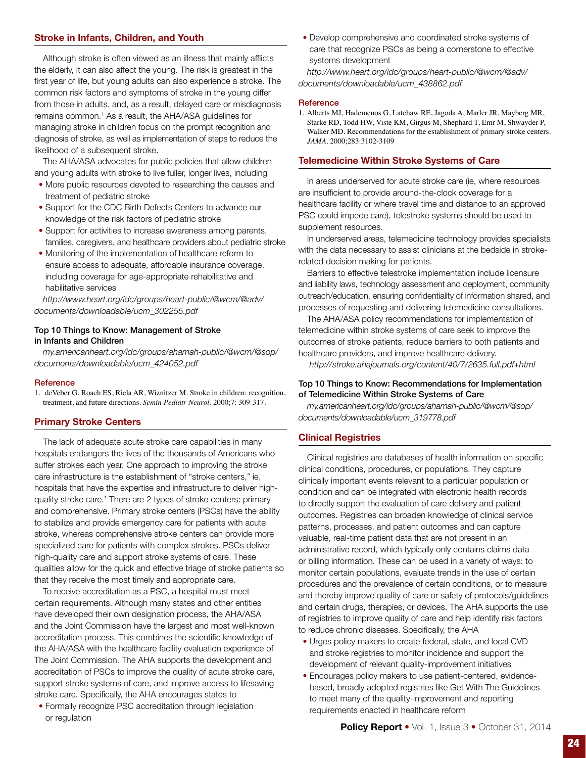# Stroke in Infants, Children, and Youth

Although stroke is often viewed as an illness that mainly afflicts the elderly, it can also affect the young. The risk is greatest in the first year of life, but young adults can also experience a stroke. The common risk factors and symptoms of stroke in the young differ from those in adults, and, as a result, delayed care or misdiagnosis remains common.<sup>1</sup> As a result, the AHA/ASA guidelines for managing stroke in children focus on the prompt recognition and diagnosis of stroke, as well as implementation of steps to reduce the likelihood of a subsequent stroke.

The AHA/ASA advocates for public policies that allow children and young adults with stroke to live fuller, longer lives, including

- More public resources devoted to researching the causes and treatment of pediatric stroke
- Support for the CDC Birth Defects Centers to advance our knowledge of the risk factors of pediatric stroke
- Support for activities to increase awareness among parents, families, caregivers, and healthcare providers about pediatric stroke
- Monitoring of the implementation of healthcare reform to ensure access to adequate, affordable insurance coverage, including coverage for age-appropriate rehabilitative and habilitative services

*http://www.heart.org/idc/groups/heart-public/@wcm/@adv/ documents/downloadable/ucm\_302255.pdf* 

### Top 10 Things to Know: Management of Stroke in Infants and Children

*my.americanheart.org/idc/groups/ahamah-public/@wcm/@sop/ documents/downloadable/ucm\_424052.pdf*

#### **Reference**

1. deVeber G, Roach ES, Riela AR, Wiznitzer M. Stroke in children: recognition, treatment, and future directions. *Semin Pediatr Neurol*. 2000;7: 309-317.

### Primary Stroke Centers

The lack of adequate acute stroke care capabilities in many hospitals endangers the lives of the thousands of Americans who suffer strokes each year. One approach to improving the stroke care infrastructure is the establishment of "stroke centers," ie, hospitals that have the expertise and infrastructure to deliver highquality stroke care.<sup>1</sup> There are 2 types of stroke centers: primary and comprehensive. Primary stroke centers (PSCs) have the ability to stabilize and provide emergency care for patients with acute stroke, whereas comprehensive stroke centers can provide more specialized care for patients with complex strokes. PSCs deliver high-quality care and support stroke systems of care. These qualities allow for the quick and effective triage of stroke patients so that they receive the most timely and appropriate care.

To receive accreditation as a PSC, a hospital must meet certain requirements. Although many states and other entities have developed their own designation process, the AHA/ASA and the Joint Commission have the largest and most well-known accreditation process. This combines the scientific knowledge of the AHA/ASA with the healthcare facility evaluation experience of The Joint Commission. The AHA supports the development and accreditation of PSCs to improve the quality of acute stroke care, support stroke systems of care, and improve access to lifesaving stroke care. Specifically, the AHA encourages states to

• Formally recognize PSC accreditation through legislation or regulation

• Develop comprehensive and coordinated stroke systems of care that recognize PSCs as being a cornerstone to effective systems development

*http://www.heart.org/idc/groups/heart-public/@wcm/@adv/ documents/downloadable/ucm\_438862.pdf* 

#### **Reference**

1. Alberts MJ, Hademenos G, Latchaw RE, Jagoda A, Marler JR, Mayberg MR, Starke RD, Todd HW, Viste KM, Girgus M, Shephard T, Emr M, Shwayder P, Walker MD. Recommendations for the establishment of primary stroke centers. *JAMA*. 2000;283:3102-3109

### Telemedicine Within Stroke Systems of Care

In areas underserved for acute stroke care (ie, where resources are insufficient to provide around-the-clock coverage for a healthcare facility or where travel time and distance to an approved PSC could impede care), telestroke systems should be used to supplement resources.

In underserved areas, telemedicine technology provides specialists with the data necessary to assist clinicians at the bedside in strokerelated decision making for patients.

Barriers to effective telestroke implementation include licensure and liability laws, technology assessment and deployment, community outreach/education, ensuring confidentiality of information shared, and processes of requesting and delivering telemedicine consultations.

The AHA/ASA policy recommendations for implementation of telemedicine within stroke systems of care seek to improve the outcomes of stroke patients, reduce barriers to both patients and healthcare providers, and improve healthcare delivery.

 *http://stroke.ahajournals.org/content/40/7/2635.full.pdf+html* 

### Top 10 Things to Know: Recommendations for Implementation of Telemedicine Within Stroke Systems of Care

*my.americanheart.org/idc/groups/ahamah-public/@wcm/@sop/ documents/downloadable/ucm\_319778.pdf*

# Clinical Registries

Clinical registries are databases of health information on specific clinical conditions, procedures, or populations. They capture clinically important events relevant to a particular population or condition and can be integrated with electronic health records to directly support the evaluation of care delivery and patient outcomes. Registries can broaden knowledge of clinical service patterns, processes, and patient outcomes and can capture valuable, real-time patient data that are not present in an administrative record, which typically only contains claims data or billing information. These can be used in a variety of ways: to monitor certain populations, evaluate trends in the use of certain procedures and the prevalence of certain conditions, or to measure and thereby improve quality of care or safety of protocols/guidelines and certain drugs, therapies, or devices. The AHA supports the use of registries to improve quality of care and help identify risk factors to reduce chronic diseases. Specifically, the AHA

- Urges policy makers to create federal, state, and local CVD and stroke registries to monitor incidence and support the development of relevant quality-improvement initiatives
- Encourages policy makers to use patient-centered, evidencebased, broadly adopted registries like Get With The Guidelines to meet many of the quality-improvement and reporting requirements enacted in healthcare reform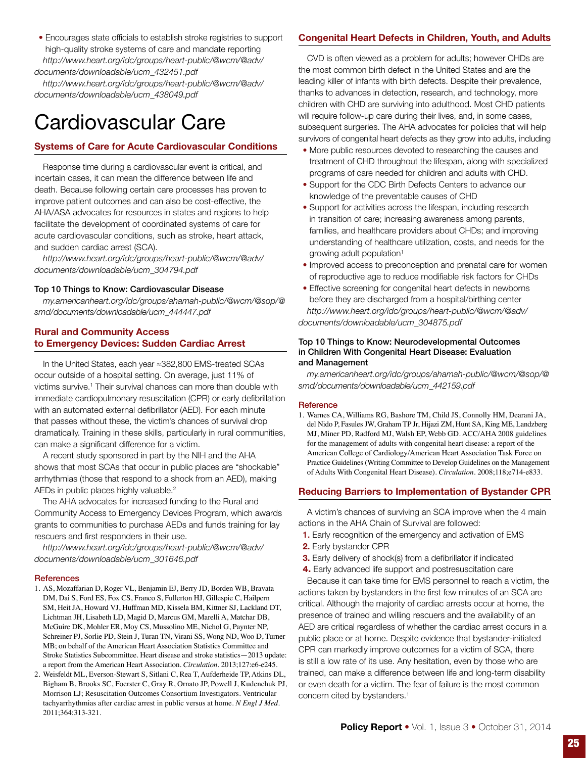• Encourages state officials to establish stroke registries to support high-quality stroke systems of care and mandate reporting *http://www.heart.org/idc/groups/heart-public/@wcm/@adv/ documents/downloadable/ucm\_432451.pdf* 

*http://www.heart.org/idc/groups/heart-public/@wcm/@adv/ documents/downloadable/ucm\_438049.pdf*

# Cardiovascular Care

# Systems of Care for Acute Cardiovascular Conditions

Response time during a cardiovascular event is critical, and incertain cases, it can mean the difference between life and death. Because following certain care processes has proven to improve patient outcomes and can also be cost-effective, the AHA/ASA advocates for resources in states and regions to help facilitate the development of coordinated systems of care for acute cardiovascular conditions, such as stroke, heart attack, and sudden cardiac arrest (SCA).

*http://www.heart.org/idc/groups/heart-public/@wcm/@adv/ documents/downloadable/ucm\_304794.pdf* 

### Top 10 Things to Know: Cardiovascular Disease

*my.americanheart.org/idc/groups/ahamah-public/@wcm/@sop/@ smd/documents/downloadable/ucm\_444447.pdf*

# Rural and Community Access to Emergency Devices: Sudden Cardiac Arrest

In the United States, each year ≈382,800 EMS-treated SCAs occur outside of a hospital setting. On average, just 11% of victims survive.<sup>1</sup> Their survival chances can more than double with immediate cardiopulmonary resuscitation (CPR) or early defibrillation with an automated external defibrillator (AED). For each minute that passes without these, the victim's chances of survival drop dramatically. Training in these skills, particularly in rural communities, can make a significant difference for a victim.

A recent study sponsored in part by the NIH and the AHA shows that most SCAs that occur in public places are "shockable" arrhythmias (those that respond to a shock from an AED), making AEDs in public places highly valuable.<sup>2</sup>

The AHA advocates for increased funding to the Rural and Community Access to Emergency Devices Program, which awards grants to communities to purchase AEDs and funds training for lay rescuers and first responders in their use.

*http://www.heart.org/idc/groups/heart-public/@wcm/@adv/ documents/downloadable/ucm\_301646.pdf* 

### **References**

- 1. AS, Mozaffarian D, Roger VL, Benjamin EJ, Berry JD, Borden WB, Bravata DM, Dai S, Ford ES, Fox CS, Franco S, Fullerton HJ, Gillespie C, Hailpern SM, Heit JA, Howard VJ, Huffman MD, Kissela BM, Kittner SJ, Lackland DT, Lichtman JH, Lisabeth LD, Magid D, Marcus GM, Marelli A, Matchar DB, McGuire DK, Mohler ER, Moy CS, Mussolino ME, Nichol G, Paynter NP, Schreiner PJ, Sorlie PD, Stein J, Turan TN, Virani SS, Wong ND, Woo D, Turner MB; on behalf of the American Heart Association Statistics Committee and Stroke Statistics Subcommittee. Heart disease and stroke statistics—2013 update: a report from the American Heart Association. *Circulation*. 2013;127:e6-e245.
- 2. Weisfeldt ML, Everson-Stewart S, Sitlani C, Rea T, Aufderheide TP, Atkins DL, Bigham B, Brooks SC, Foerster C, Gray R, Ornato JP, Powell J, Kudenchuk PJ, Morrison LJ; Resuscitation Outcomes Consortium Investigators. Ventricular tachyarrhythmias after cardiac arrest in public versus at home. *N Engl J Med*. 2011;364:313-321.

# Congenital Heart Defects in Children, Youth, and Adults

CVD is often viewed as a problem for adults; however CHDs are the most common birth defect in the United States and are the leading killer of infants with birth defects. Despite their prevalence, thanks to advances in detection, research, and technology, more children with CHD are surviving into adulthood. Most CHD patients will require follow-up care during their lives, and, in some cases, subsequent surgeries. The AHA advocates for policies that will help survivors of congenital heart defects as they grow into adults, including

- More public resources devoted to researching the causes and treatment of CHD throughout the lifespan, along with specialized programs of care needed for children and adults with CHD.
- Support for the CDC Birth Defects Centers to advance our knowledge of the preventable causes of CHD
- Support for activities across the lifespan, including research in transition of care; increasing awareness among parents, families, and healthcare providers about CHDs; and improving understanding of healthcare utilization, costs, and needs for the growing adult population<sup>1</sup>
- Improved access to preconception and prenatal care for women of reproductive age to reduce modifiable risk factors for CHDs
- Effective screening for congenital heart defects in newborns before they are discharged from a hospital/birthing center *http://www.heart.org/idc/groups/heart-public/@wcm/@adv/ documents/downloadable/ucm\_304875.pdf*

### Top 10 Things to Know: Neurodevelopmental Outcomes in Children With Congenital Heart Disease: Evaluation and Management

*my.americanheart.org/idc/groups/ahamah-public/@wcm/@sop/@ smd/documents/downloadable/ucm\_442159.pdf*

### **Reference**

1. Warnes CA, Williams RG, Bashore TM, Child JS, Connolly HM, Dearani JA, del Nido P, Fasules JW, Graham TP Jr, Hijazi ZM, Hunt SA, King ME, Landzberg MJ, Miner PD, Radford MJ, Walsh EP, Webb GD. ACC/AHA 2008 guidelines for the management of adults with congenital heart disease: a report of the American College of Cardiology/American Heart Association Task Force on Practice Guidelines (Writing Committee to Develop Guidelines on the Management of Adults With Congenital Heart Disease). *Circulation*. 2008;118;e714-e833.

# Reducing Barriers to Implementation of Bystander CPR

A victim's chances of surviving an SCA improve when the 4 main actions in the AHA Chain of Survival are followed:

- 1. Early recognition of the emergency and activation of EMS
- 2. Early bystander CPR
- **3.** Early delivery of shock(s) from a defibrillator if indicated
- 4. Early advanced life support and postresuscitation care

Because it can take time for EMS personnel to reach a victim, the actions taken by bystanders in the first few minutes of an SCA are critical. Although the majority of cardiac arrests occur at home, the presence of trained and willing rescuers and the availability of an AED are critical regardless of whether the cardiac arrest occurs in a public place or at home. Despite evidence that bystander-initiated CPR can markedly improve outcomes for a victim of SCA, there is still a low rate of its use. Any hesitation, even by those who are trained, can make a difference between life and long-term disability or even death for a victim. The fear of failure is the most common concern cited by bystanders.<sup>1</sup>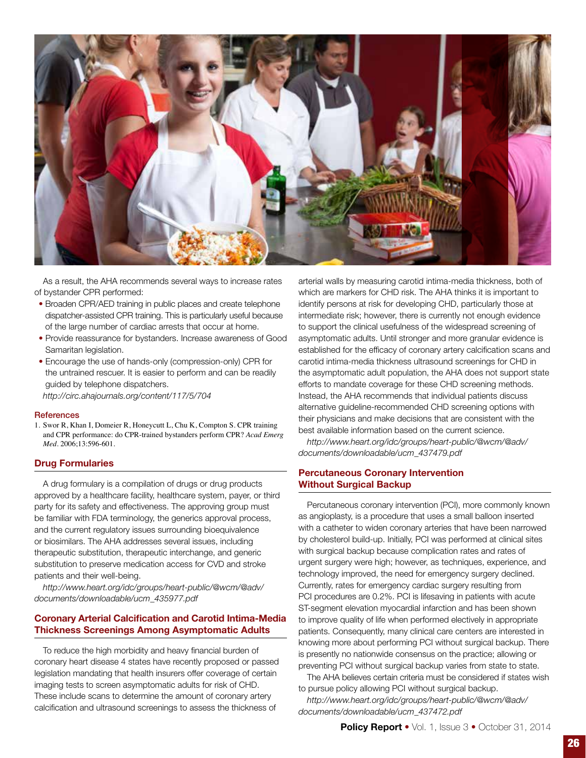

As a result, the AHA recommends several ways to increase rates of bystander CPR performed:

- Broaden CPR/AED training in public places and create telephone dispatcher-assisted CPR training. This is particularly useful because of the large number of cardiac arrests that occur at home.
- Provide reassurance for bystanders. Increase awareness of Good Samaritan legislation.
- Encourage the use of hands-only (compression-only) CPR for the untrained rescuer. It is easier to perform and can be readily guided by telephone dispatchers.

*http://circ.ahajournals.org/content/117/5/704*

### **References**

1. Swor R, Khan I, Domeier R, Honeycutt L, Chu K, Compton S. CPR training and CPR performance: do CPR-trained bystanders perform CPR? *Acad Emerg Med*. 2006;13:596-601.

### Drug Formularies

A drug formulary is a compilation of drugs or drug products approved by a healthcare facility, healthcare system, payer, or third party for its safety and effectiveness. The approving group must be familiar with FDA terminology, the generics approval process, and the current regulatory issues surrounding bioequivalence or biosimilars. The AHA addresses several issues, including therapeutic substitution, therapeutic interchange, and generic substitution to preserve medication access for CVD and stroke patients and their well-being.

*http://www.heart.org/idc/groups/heart-public/@wcm/@adv/ documents/downloadable/ucm\_435977.pdf* 

# Coronary Arterial Calcification and Carotid Intima-Media Thickness Screenings Among Asymptomatic Adults

To reduce the high morbidity and heavy financial burden of coronary heart disease 4 states have recently proposed or passed legislation mandating that health insurers offer coverage of certain imaging tests to screen asymptomatic adults for risk of CHD. These include scans to determine the amount of coronary artery calcification and ultrasound screenings to assess the thickness of

arterial walls by measuring carotid intima-media thickness, both of which are markers for CHD risk. The AHA thinks it is important to identify persons at risk for developing CHD, particularly those at intermediate risk; however, there is currently not enough evidence to support the clinical usefulness of the widespread screening of asymptomatic adults. Until stronger and more granular evidence is established for the efficacy of coronary artery calcification scans and carotid intima-media thickness ultrasound screenings for CHD in the asymptomatic adult population, the AHA does not support state efforts to mandate coverage for these CHD screening methods. Instead, the AHA recommends that individual patients discuss alternative guideline-recommended CHD screening options with their physicians and make decisions that are consistent with the best available information based on the current science.

*http://www.heart.org/idc/groups/heart-public/@wcm/@adv/ documents/downloadable/ucm\_437479.pdf* 

# Percutaneous Coronary Intervention Without Surgical Backup

Percutaneous coronary intervention (PCI), more commonly known as angioplasty, is a procedure that uses a small balloon inserted with a catheter to widen coronary arteries that have been narrowed by cholesterol build-up. Initially, PCI was performed at clinical sites with surgical backup because complication rates and rates of urgent surgery were high; however, as techniques, experience, and technology improved, the need for emergency surgery declined. Currently, rates for emergency cardiac surgery resulting from PCI procedures are 0.2%. PCI is lifesaving in patients with acute ST-segment elevation myocardial infarction and has been shown to improve quality of life when performed electively in appropriate patients. Consequently, many clinical care centers are interested in knowing more about performing PCI without surgical backup. There is presently no nationwide consensus on the practice; allowing or preventing PCI without surgical backup varies from state to state.

The AHA believes certain criteria must be considered if states wish to pursue policy allowing PCI without surgical backup.

*http://www.heart.org/idc/groups/heart-public/@wcm/@adv/ documents/downloadable/ucm\_437472.pdf*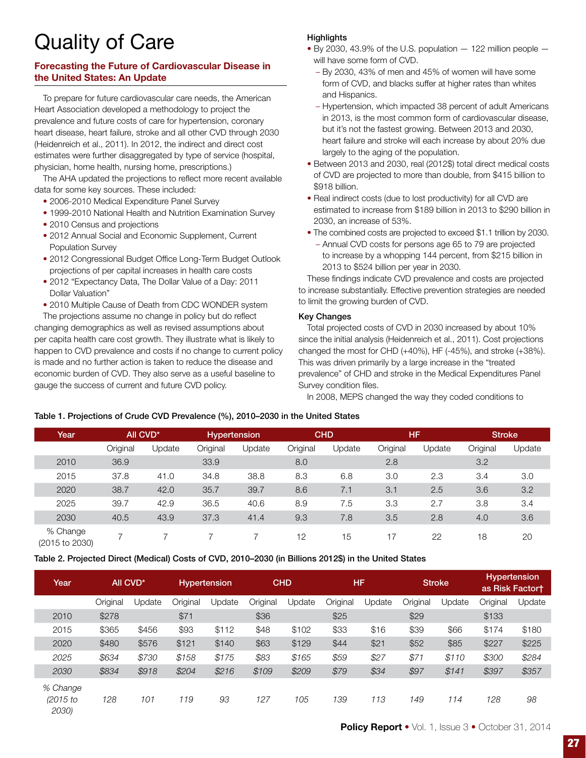# Quality of Care

# Forecasting the Future of Cardiovascular Disease in the United States: An Update

To prepare for future cardiovascular care needs, the American Heart Association developed a methodology to project the prevalence and future costs of care for hypertension, coronary heart disease, heart failure, stroke and all other CVD through 2030 (Heidenreich et al., 2011). In 2012, the indirect and direct cost estimates were further disaggregated by type of service (hospital, physician, home health, nursing home, prescriptions.)

The AHA updated the projections to reflect more recent available data for some key sources. These included:

- 2006-2010 Medical Expenditure Panel Survey
- 1999-2010 National Health and Nutrition Examination Survey
- 2010 Census and projections
- 2012 Annual Social and Economic Supplement, Current Population Survey
- 2012 Congressional Budget Office Long-Term Budget Outlook projections of per capital increases in health care costs
- 2012 "Expectancy Data, The Dollar Value of a Day: 2011 Dollar Valuation"
- 2010 Multiple Cause of Death from CDC WONDER system

The projections assume no change in policy but do reflect changing demographics as well as revised assumptions about per capita health care cost growth. They illustrate what is likely to happen to CVD prevalence and costs if no change to current policy is made and no further action is taken to reduce the disease and economic burden of CVD. They also serve as a useful baseline to gauge the success of current and future CVD policy.

# **Highlights**

- $\bullet$  By 2030, 43.9% of the U.S. population  $-$  122 million people  $$ will have some form of CVD.
	- By 2030, 43% of men and 45% of women will have some form of CVD, and blacks suffer at higher rates than whites and Hispanics.
	- Hypertension, which impacted 38 percent of adult Americans in 2013, is the most common form of cardiovascular disease, but it's not the fastest growing. Between 2013 and 2030, heart failure and stroke will each increase by about 20% due largely to the aging of the population.
- Between 2013 and 2030, real (2012\$) total direct medical costs of CVD are projected to more than double, from \$415 billion to \$918 billion.
- Real indirect costs (due to lost productivity) for all CVD are estimated to increase from \$189 billion in 2013 to \$290 billion in 2030, an increase of 53%.
- The combined costs are projected to exceed \$1.1 trillion by 2030. – Annual CVD costs for persons age 65 to 79 are projected to increase by a whopping 144 percent, from \$215 billion in 2013 to \$524 billion per year in 2030.

These findings indicate CVD prevalence and costs are projected to increase substantially. Effective prevention strategies are needed to limit the growing burden of CVD.

# Key Changes

Total projected costs of CVD in 2030 increased by about 10% since the initial analysis (Heidenreich et al., 2011). Cost projections changed the most for CHD (+40%), HF (-45%), and stroke (+38%). This was driven primarily by a large increase in the "treated prevalence" of CHD and stroke in the Medical Expenditures Panel Survey condition files.

In 2008, MEPS changed the way they coded conditions to

# Table 1. Projections of Crude CVD Prevalence (%), 2010–2030 in the United States

| Year                       | All CVD*                 |        | <b>Hypertension</b> |        | <b>CHD</b> |        | <b>HF</b> |        | <b>Stroke</b> |        |
|----------------------------|--------------------------|--------|---------------------|--------|------------|--------|-----------|--------|---------------|--------|
|                            | Original                 | Update | Original            | Update | Original   | Update | Original  | Update | Original      | Update |
| 2010                       | 36.9                     |        | 33.9                |        | 8.0        |        | 2.8       |        | 3.2           |        |
| 2015                       | 37.8                     | 41.0   | 34.8                | 38.8   | 8.3        | 6.8    | 3.0       | 2.3    | 3.4           | 3.0    |
| 2020                       | 38.7                     | 42.0   | 35.7                | 39.7   | 8.6        | 7.1    | 3.1       | 2.5    | 3.6           | 3.2    |
| 2025                       | 39.7                     | 42.9   | 36.5                | 40.6   | 8.9        | 7.5    | 3.3       | 2.7    | 3.8           | 3.4    |
| 2030                       | 40.5                     | 43.9   | 37.3                | 41.4   | 9.3        | 7.8    | 3.5       | 2.8    | 4.0           | 3.6    |
| % Change<br>(2015 to 2030) | $\overline{\phantom{0}}$ |        |                     |        | 12         | 15     | 17        | 22     | 18            | 20     |

Table 2. Projected Direct (Medical) Costs of CVD, 2010–2030 (in Billions 2012\$) in the United States

| Year                          | All CVD <sup>*</sup> |        | <b>Hypertension</b> |        | <b>CHD</b> |        | <b>HF</b> |        | Stroke   |        | <b>Hypertension</b><br>as Risk Factort |        |
|-------------------------------|----------------------|--------|---------------------|--------|------------|--------|-----------|--------|----------|--------|----------------------------------------|--------|
|                               | Original             | Update | Original            | Update | Original   | Update | Original  | Update | Original | Update | Original                               | Update |
| 2010                          | \$278                |        | \$71                |        | \$36       |        | \$25      |        | \$29     |        | \$133                                  |        |
| 2015                          | \$365                | \$456  | \$93                | \$112  | \$48       | \$102  | \$33      | \$16   | \$39     | \$66   | \$174                                  | \$180  |
| 2020                          | \$480                | \$576  | \$121               | \$140  | \$63       | \$129  | \$44      | \$21   | \$52     | \$85   | \$227                                  | \$225  |
| 2025                          | \$634                | \$730  | \$158               | \$175  | \$83       | \$165  | \$59      | \$27   | \$71     | \$110  | \$300                                  | \$284  |
| 2030                          | \$834                | \$918  | \$204               | \$216  | \$109      | \$209  | \$79      | \$34   | \$97     | \$141  | \$397                                  | \$357  |
| % Change<br>(2015 to<br>2030) | 128                  | 101    | 119                 | 93     | 127        | 105    | 139       | 113    | 149      | 114    | 128                                    | 98     |